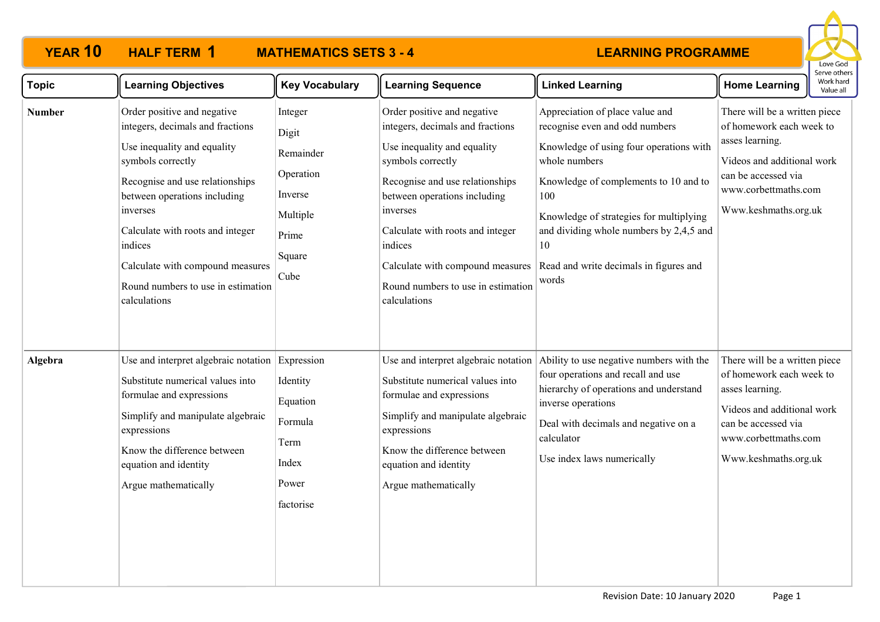| <b>YEAR 10</b> | <b>HALF TERM 1</b> | <b>MATHEMATICS SETS 3 - 4</b> |                      |
|----------------|--------------------|-------------------------------|----------------------|
|                |                    |                               |                      |
|                | agraing Ohiaativaa | $\mathbf{U}$ Aya Maaabulama   | II Laavsing Canuanga |



| <b>Topic</b>  | <b>Learning Objectives</b>                                                                                                                                                                                                                                                                                                                  | <b>Key Vocabulary</b>                                                                        | <b>Learning Sequence</b>                                                                                                                                                                                                                                                                                                                    | <b>Linked Learning</b>                                                                                                                                                                                                                                                                                                       | <b>Home Learning</b>                                                                                                                                                              | /VOIKTIdIU<br>Value all |
|---------------|---------------------------------------------------------------------------------------------------------------------------------------------------------------------------------------------------------------------------------------------------------------------------------------------------------------------------------------------|----------------------------------------------------------------------------------------------|---------------------------------------------------------------------------------------------------------------------------------------------------------------------------------------------------------------------------------------------------------------------------------------------------------------------------------------------|------------------------------------------------------------------------------------------------------------------------------------------------------------------------------------------------------------------------------------------------------------------------------------------------------------------------------|-----------------------------------------------------------------------------------------------------------------------------------------------------------------------------------|-------------------------|
| <b>Number</b> | Order positive and negative<br>integers, decimals and fractions<br>Use inequality and equality<br>symbols correctly<br>Recognise and use relationships<br>between operations including<br>inverses<br>Calculate with roots and integer<br>indices<br>Calculate with compound measures<br>Round numbers to use in estimation<br>calculations | Integer<br>Digit<br>Remainder<br>Operation<br>Inverse<br>Multiple<br>Prime<br>Square<br>Cube | Order positive and negative<br>integers, decimals and fractions<br>Use inequality and equality<br>symbols correctly<br>Recognise and use relationships<br>between operations including<br>inverses<br>Calculate with roots and integer<br>indices<br>Calculate with compound measures<br>Round numbers to use in estimation<br>calculations | Appreciation of place value and<br>recognise even and odd numbers<br>Knowledge of using four operations with<br>whole numbers<br>Knowledge of complements to 10 and to<br>100<br>Knowledge of strategies for multiplying<br>and dividing whole numbers by 2,4,5 and<br>10<br>Read and write decimals in figures and<br>words | There will be a written piece<br>of homework each week to<br>asses learning.<br>Videos and additional work<br>can be accessed via<br>www.corbettmaths.com<br>Www.keshmaths.org.uk |                         |
| Algebra       | Use and interpret algebraic notation<br>Substitute numerical values into<br>formulae and expressions<br>Simplify and manipulate algebraic<br>expressions<br>Know the difference between<br>equation and identity<br>Argue mathematically                                                                                                    | Expression<br>Identity<br>Equation<br>Formula<br>Term<br>Index<br>Power<br>factorise         | Use and interpret algebraic notation<br>Substitute numerical values into<br>formulae and expressions<br>Simplify and manipulate algebraic<br>expressions<br>Know the difference between<br>equation and identity<br>Argue mathematically                                                                                                    | Ability to use negative numbers with the<br>four operations and recall and use<br>hierarchy of operations and understand<br>inverse operations<br>Deal with decimals and negative on a<br>calculator<br>Use index laws numerically                                                                                           | There will be a written piece<br>of homework each week to<br>asses learning.<br>Videos and additional work<br>can be accessed via<br>www.corbettmaths.com<br>Www.keshmaths.org.uk |                         |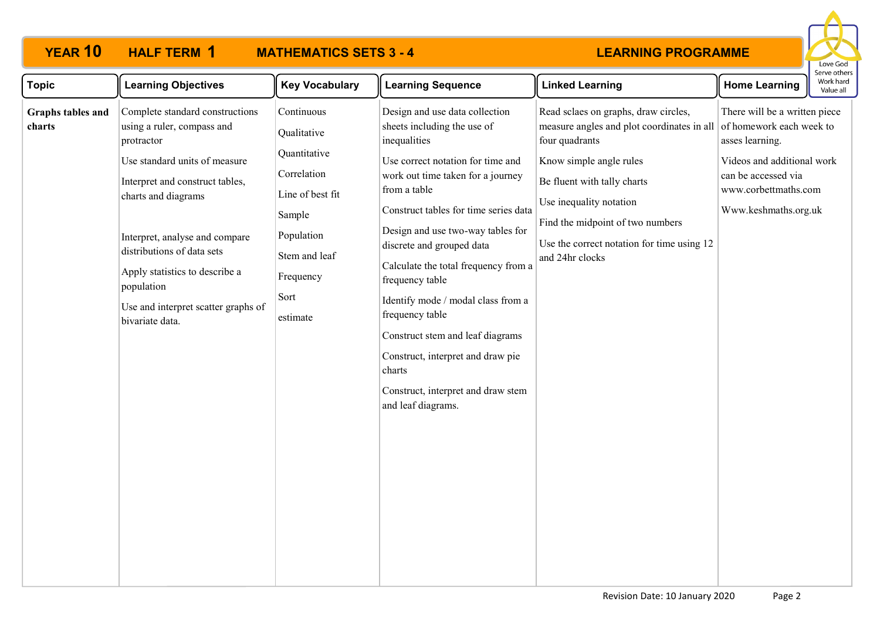

| <b>Topic</b>                | <b>Learning Objectives</b>                                                                                                                                                                                                                                                                                                                       | <b>Key Vocabulary</b>                                                                                                                                  | <b>Learning Sequence</b>                                                                                                                                                                                                                                                                                                                                                                                                                                                                                                                              | <b>Linked Learning</b>                                                                                                                                                                                                                                                                                                  | <b>Home Learning</b>                                                                                                                                  | perve otrie<br>Work har<br>Value all |
|-----------------------------|--------------------------------------------------------------------------------------------------------------------------------------------------------------------------------------------------------------------------------------------------------------------------------------------------------------------------------------------------|--------------------------------------------------------------------------------------------------------------------------------------------------------|-------------------------------------------------------------------------------------------------------------------------------------------------------------------------------------------------------------------------------------------------------------------------------------------------------------------------------------------------------------------------------------------------------------------------------------------------------------------------------------------------------------------------------------------------------|-------------------------------------------------------------------------------------------------------------------------------------------------------------------------------------------------------------------------------------------------------------------------------------------------------------------------|-------------------------------------------------------------------------------------------------------------------------------------------------------|--------------------------------------|
| Graphs tables and<br>charts | Complete standard constructions<br>using a ruler, compass and<br>protractor<br>Use standard units of measure<br>Interpret and construct tables,<br>charts and diagrams<br>Interpret, analyse and compare<br>distributions of data sets<br>Apply statistics to describe a<br>population<br>Use and interpret scatter graphs of<br>bivariate data. | Continuous<br>Qualitative<br>Quantitative<br>Correlation<br>Line of best fit<br>Sample<br>Population<br>Stem and leaf<br>Frequency<br>Sort<br>estimate | Design and use data collection<br>sheets including the use of<br>inequalities<br>Use correct notation for time and<br>work out time taken for a journey<br>from a table<br>Construct tables for time series data<br>Design and use two-way tables for<br>discrete and grouped data<br>Calculate the total frequency from a<br>frequency table<br>Identify mode / modal class from a<br>frequency table<br>Construct stem and leaf diagrams<br>Construct, interpret and draw pie<br>charts<br>Construct, interpret and draw stem<br>and leaf diagrams. | Read sclaes on graphs, draw circles,<br>measure angles and plot coordinates in all of homework each week to<br>four quadrants<br>Know simple angle rules<br>Be fluent with tally charts<br>Use inequality notation<br>Find the midpoint of two numbers<br>Use the correct notation for time using 12<br>and 24hr clocks | There will be a written piece<br>asses learning.<br>Videos and additional work<br>can be accessed via<br>www.corbettmaths.com<br>Www.keshmaths.org.uk |                                      |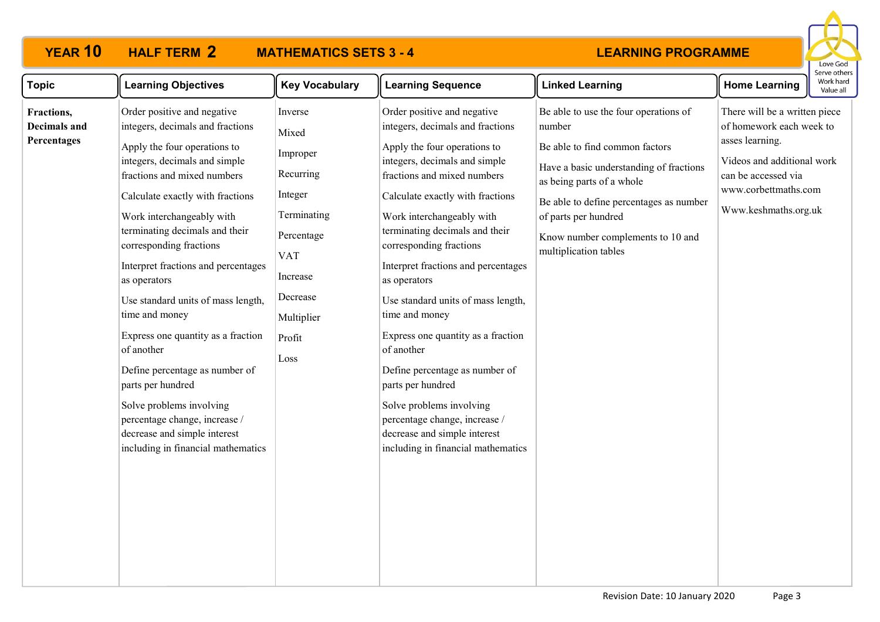# **YEAR 10 HALF TERM MATHEMATICS SETS 3 - 4**



| <b>Topic</b>                                     | <b>Learning Objectives</b>                                                                                                                                                                                                                                                                                                                                                                                                                                                                                                                                                                                                                                 | <b>Key Vocabulary</b>                                                                                                                                   | <b>Learning Sequence</b>                                                                                                                                                                                                                                                                                                                                                                                                                                                                                                                                                                                                                                   | <b>Linked Learning</b>                                                                                                                                                                                                                                                                     | <b>Home Learning</b>                                                                                                                                                              | Work hard<br>Value all |
|--------------------------------------------------|------------------------------------------------------------------------------------------------------------------------------------------------------------------------------------------------------------------------------------------------------------------------------------------------------------------------------------------------------------------------------------------------------------------------------------------------------------------------------------------------------------------------------------------------------------------------------------------------------------------------------------------------------------|---------------------------------------------------------------------------------------------------------------------------------------------------------|------------------------------------------------------------------------------------------------------------------------------------------------------------------------------------------------------------------------------------------------------------------------------------------------------------------------------------------------------------------------------------------------------------------------------------------------------------------------------------------------------------------------------------------------------------------------------------------------------------------------------------------------------------|--------------------------------------------------------------------------------------------------------------------------------------------------------------------------------------------------------------------------------------------------------------------------------------------|-----------------------------------------------------------------------------------------------------------------------------------------------------------------------------------|------------------------|
| Fractions,<br><b>Decimals and</b><br>Percentages | Order positive and negative<br>integers, decimals and fractions<br>Apply the four operations to<br>integers, decimals and simple<br>fractions and mixed numbers<br>Calculate exactly with fractions<br>Work interchangeably with<br>terminating decimals and their<br>corresponding fractions<br>Interpret fractions and percentages<br>as operators<br>Use standard units of mass length,<br>time and money<br>Express one quantity as a fraction<br>of another<br>Define percentage as number of<br>parts per hundred<br>Solve problems involving<br>percentage change, increase /<br>decrease and simple interest<br>including in financial mathematics | Inverse<br>Mixed<br>Improper<br>Recurring<br>Integer<br>Terminating<br>Percentage<br><b>VAT</b><br>Increase<br>Decrease<br>Multiplier<br>Profit<br>Loss | Order positive and negative<br>integers, decimals and fractions<br>Apply the four operations to<br>integers, decimals and simple<br>fractions and mixed numbers<br>Calculate exactly with fractions<br>Work interchangeably with<br>terminating decimals and their<br>corresponding fractions<br>Interpret fractions and percentages<br>as operators<br>Use standard units of mass length,<br>time and money<br>Express one quantity as a fraction<br>of another<br>Define percentage as number of<br>parts per hundred<br>Solve problems involving<br>percentage change, increase /<br>decrease and simple interest<br>including in financial mathematics | Be able to use the four operations of<br>number<br>Be able to find common factors<br>Have a basic understanding of fractions<br>as being parts of a whole<br>Be able to define percentages as number<br>of parts per hundred<br>Know number complements to 10 and<br>multiplication tables | There will be a written piece<br>of homework each week to<br>asses learning.<br>Videos and additional work<br>can be accessed via<br>www.corbettmaths.com<br>Www.keshmaths.org.uk |                        |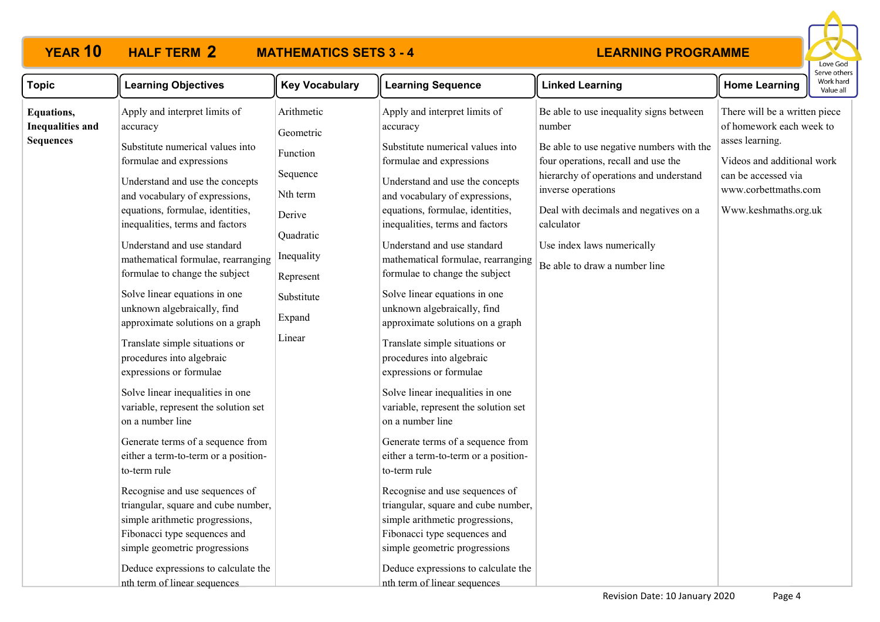# **2**

# **YEAR 10 HALF TERM MATHEMATICS SETS 3 - 4**



| <b>Topic</b>                                                     | <b>Learning Objectives</b>                                                                                                                                                                                                                                                                                                                                                                                                                                                                                                                                                                                                                                                                                                                                                                                                                                                                                                                                                                                  | <b>Key Vocabulary</b>                                                                                                                           | <b>Learning Sequence</b>                                                                                                                                                                                                                                                                                                                                                                                                                                                                                                                                                                                                                                                                                                                                                                                                                                                                                                                                                                                    | <b>Linked Learning</b>                                                                                                                                                                                                                                                                                                     | <b>Home Learning</b>                                                                                                                                                              | יכו עכ טנווי<br>Work har<br>Value al |
|------------------------------------------------------------------|-------------------------------------------------------------------------------------------------------------------------------------------------------------------------------------------------------------------------------------------------------------------------------------------------------------------------------------------------------------------------------------------------------------------------------------------------------------------------------------------------------------------------------------------------------------------------------------------------------------------------------------------------------------------------------------------------------------------------------------------------------------------------------------------------------------------------------------------------------------------------------------------------------------------------------------------------------------------------------------------------------------|-------------------------------------------------------------------------------------------------------------------------------------------------|-------------------------------------------------------------------------------------------------------------------------------------------------------------------------------------------------------------------------------------------------------------------------------------------------------------------------------------------------------------------------------------------------------------------------------------------------------------------------------------------------------------------------------------------------------------------------------------------------------------------------------------------------------------------------------------------------------------------------------------------------------------------------------------------------------------------------------------------------------------------------------------------------------------------------------------------------------------------------------------------------------------|----------------------------------------------------------------------------------------------------------------------------------------------------------------------------------------------------------------------------------------------------------------------------------------------------------------------------|-----------------------------------------------------------------------------------------------------------------------------------------------------------------------------------|--------------------------------------|
| <b>Equations,</b><br><b>Inequalities and</b><br><b>Sequences</b> | Apply and interpret limits of<br>accuracy<br>Substitute numerical values into<br>formulae and expressions<br>Understand and use the concepts<br>and vocabulary of expressions,<br>equations, formulae, identities,<br>inequalities, terms and factors<br>Understand and use standard<br>mathematical formulae, rearranging<br>formulae to change the subject<br>Solve linear equations in one<br>unknown algebraically, find<br>approximate solutions on a graph<br>Translate simple situations or<br>procedures into algebraic<br>expressions or formulae<br>Solve linear inequalities in one<br>variable, represent the solution set<br>on a number line<br>Generate terms of a sequence from<br>either a term-to-term or a position-<br>to-term rule<br>Recognise and use sequences of<br>triangular, square and cube number,<br>simple arithmetic progressions,<br>Fibonacci type sequences and<br>simple geometric progressions<br>Deduce expressions to calculate the<br>nth term of linear sequences | Arithmetic<br>Geometric<br>Function<br>Sequence<br>Nth term<br>Derive<br>Quadratic<br>Inequality<br>Represent<br>Substitute<br>Expand<br>Linear | Apply and interpret limits of<br>accuracy<br>Substitute numerical values into<br>formulae and expressions<br>Understand and use the concepts<br>and vocabulary of expressions,<br>equations, formulae, identities,<br>inequalities, terms and factors<br>Understand and use standard<br>mathematical formulae, rearranging<br>formulae to change the subject<br>Solve linear equations in one<br>unknown algebraically, find<br>approximate solutions on a graph<br>Translate simple situations or<br>procedures into algebraic<br>expressions or formulae<br>Solve linear inequalities in one<br>variable, represent the solution set<br>on a number line<br>Generate terms of a sequence from<br>either a term-to-term or a position-<br>to-term rule<br>Recognise and use sequences of<br>triangular, square and cube number,<br>simple arithmetic progressions,<br>Fibonacci type sequences and<br>simple geometric progressions<br>Deduce expressions to calculate the<br>nth term of linear sequences | Be able to use inequality signs between<br>number<br>Be able to use negative numbers with the<br>four operations, recall and use the<br>hierarchy of operations and understand<br>inverse operations<br>Deal with decimals and negatives on a<br>calculator<br>Use index laws numerically<br>Be able to draw a number line | There will be a written piece<br>of homework each week to<br>asses learning.<br>Videos and additional work<br>can be accessed via<br>www.corbettmaths.com<br>Www.keshmaths.org.uk |                                      |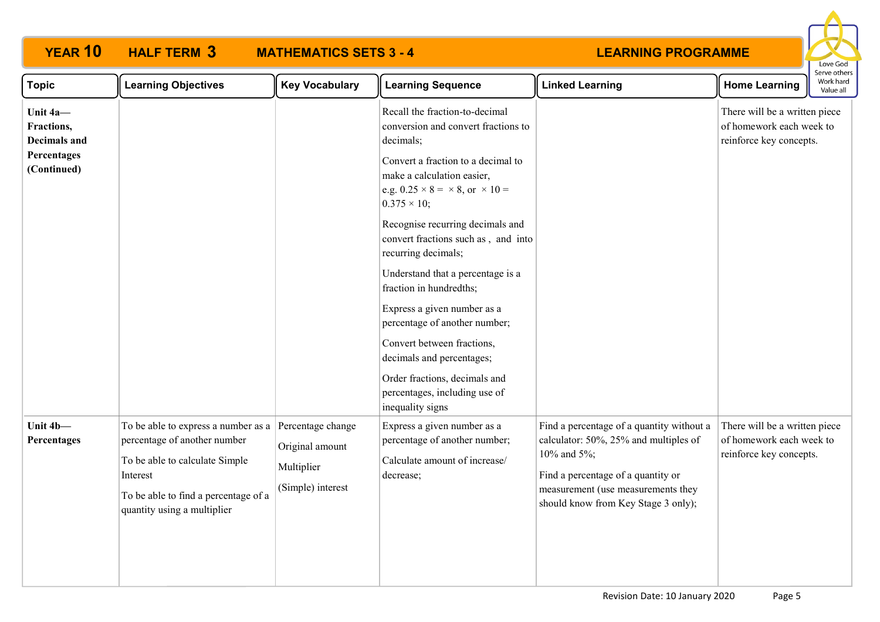| <b>YEAR 10</b>                                | <b>HALF TERM 3</b>                                                                                                                                                                       | <b>MATHEMATICS SETS 3 - 4</b>                                           |                                                                                                                                               | <b>LEARNING PROGRAMME</b>                                                                                                                                                                                            |                                                                                      | Love God                               |
|-----------------------------------------------|------------------------------------------------------------------------------------------------------------------------------------------------------------------------------------------|-------------------------------------------------------------------------|-----------------------------------------------------------------------------------------------------------------------------------------------|----------------------------------------------------------------------------------------------------------------------------------------------------------------------------------------------------------------------|--------------------------------------------------------------------------------------|----------------------------------------|
| <b>Topic</b>                                  | <b>Learning Objectives</b>                                                                                                                                                               | <b>Key Vocabulary</b>                                                   | <b>Learning Sequence</b>                                                                                                                      | <b>Linked Learning</b>                                                                                                                                                                                               | <b>Home Learning</b>                                                                 | Serve others<br>Work hard<br>Value all |
| Unit 4a-<br>Fractions,<br><b>Decimals and</b> |                                                                                                                                                                                          |                                                                         | Recall the fraction-to-decimal<br>conversion and convert fractions to<br>decimals;                                                            |                                                                                                                                                                                                                      | There will be a written piece<br>of homework each week to<br>reinforce key concepts. |                                        |
| Percentages<br>(Continued)                    |                                                                                                                                                                                          |                                                                         | Convert a fraction to a decimal to<br>make a calculation easier,<br>e.g. $0.25 \times 8 = \times 8$ , or $\times 10 =$<br>$0.375 \times 10$ ; |                                                                                                                                                                                                                      |                                                                                      |                                        |
|                                               |                                                                                                                                                                                          |                                                                         | Recognise recurring decimals and<br>convert fractions such as, and into<br>recurring decimals;                                                |                                                                                                                                                                                                                      |                                                                                      |                                        |
|                                               |                                                                                                                                                                                          |                                                                         | Understand that a percentage is a<br>fraction in hundredths;                                                                                  |                                                                                                                                                                                                                      |                                                                                      |                                        |
|                                               |                                                                                                                                                                                          |                                                                         | Express a given number as a<br>percentage of another number;                                                                                  |                                                                                                                                                                                                                      |                                                                                      |                                        |
|                                               |                                                                                                                                                                                          |                                                                         | Convert between fractions,<br>decimals and percentages;                                                                                       |                                                                                                                                                                                                                      |                                                                                      |                                        |
|                                               |                                                                                                                                                                                          |                                                                         | Order fractions, decimals and<br>percentages, including use of<br>inequality signs                                                            |                                                                                                                                                                                                                      |                                                                                      |                                        |
| Unit 4b-<br>Percentages                       | To be able to express a number as a<br>percentage of another number<br>To be able to calculate Simple<br>Interest<br>To be able to find a percentage of a<br>quantity using a multiplier | Percentage change<br>Original amount<br>Multiplier<br>(Simple) interest | Express a given number as a<br>percentage of another number;<br>Calculate amount of increase/<br>decrease;                                    | Find a percentage of a quantity without a<br>calculator: 50%, 25% and multiples of<br>10% and 5%;<br>Find a percentage of a quantity or<br>measurement (use measurements they<br>should know from Key Stage 3 only); | There will be a written piece<br>of homework each week to<br>reinforce key concepts. |                                        |
|                                               |                                                                                                                                                                                          |                                                                         |                                                                                                                                               |                                                                                                                                                                                                                      |                                                                                      |                                        |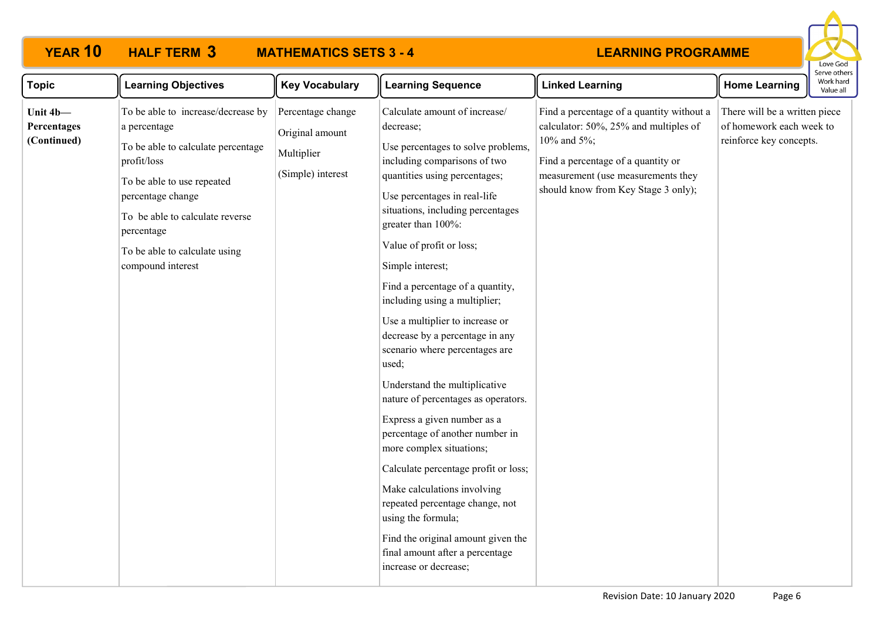

| <b>Topic</b>                           | <b>Learning Objectives</b>                                                                                                                                                                                                                                        | <b>Key Vocabulary</b>                                                   | <b>Learning Sequence</b>                                                                                                                                                                                                                                                                                                                                                                                                                                                                                                                                                                                                                                                                                                                                                                                                                                                                   | <b>Linked Learning</b>                                                                                                                                                                                               | <b>Home Learning</b>                                                                 | Work hard<br>Value all |
|----------------------------------------|-------------------------------------------------------------------------------------------------------------------------------------------------------------------------------------------------------------------------------------------------------------------|-------------------------------------------------------------------------|--------------------------------------------------------------------------------------------------------------------------------------------------------------------------------------------------------------------------------------------------------------------------------------------------------------------------------------------------------------------------------------------------------------------------------------------------------------------------------------------------------------------------------------------------------------------------------------------------------------------------------------------------------------------------------------------------------------------------------------------------------------------------------------------------------------------------------------------------------------------------------------------|----------------------------------------------------------------------------------------------------------------------------------------------------------------------------------------------------------------------|--------------------------------------------------------------------------------------|------------------------|
| Unit 4b-<br>Percentages<br>(Continued) | To be able to increase/decrease by<br>a percentage<br>To be able to calculate percentage<br>profit/loss<br>To be able to use repeated<br>percentage change<br>To be able to calculate reverse<br>percentage<br>To be able to calculate using<br>compound interest | Percentage change<br>Original amount<br>Multiplier<br>(Simple) interest | Calculate amount of increase/<br>decrease;<br>Use percentages to solve problems,<br>including comparisons of two<br>quantities using percentages;<br>Use percentages in real-life<br>situations, including percentages<br>greater than 100%:<br>Value of profit or loss;<br>Simple interest;<br>Find a percentage of a quantity,<br>including using a multiplier;<br>Use a multiplier to increase or<br>decrease by a percentage in any<br>scenario where percentages are<br>used;<br>Understand the multiplicative<br>nature of percentages as operators.<br>Express a given number as a<br>percentage of another number in<br>more complex situations;<br>Calculate percentage profit or loss;<br>Make calculations involving<br>repeated percentage change, not<br>using the formula;<br>Find the original amount given the<br>final amount after a percentage<br>increase or decrease; | Find a percentage of a quantity without a<br>calculator: 50%, 25% and multiples of<br>10% and 5%;<br>Find a percentage of a quantity or<br>measurement (use measurements they<br>should know from Key Stage 3 only); | There will be a written piece<br>of homework each week to<br>reinforce key concepts. |                        |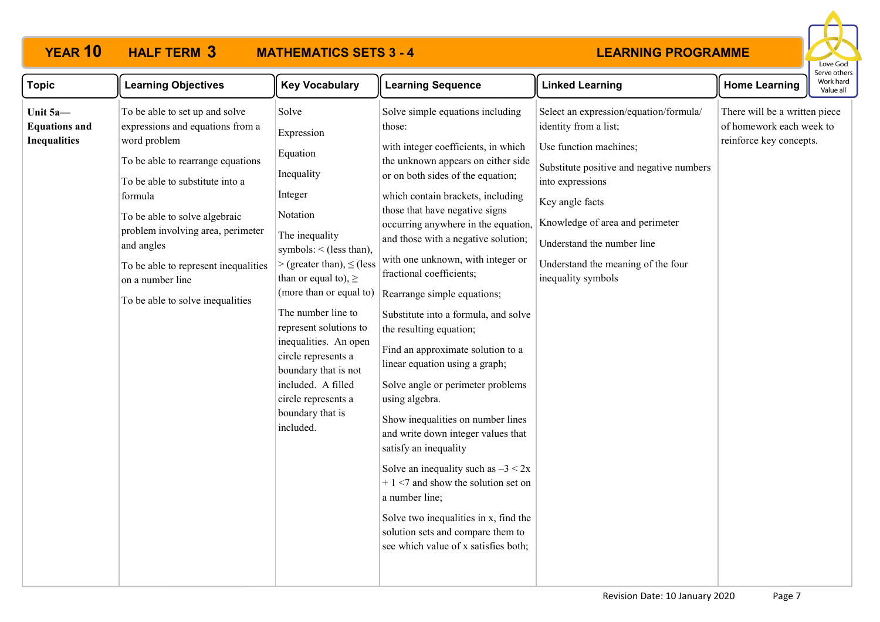

| <b>Topic</b>                                            | <b>Learning Objectives</b>                                                                                                                                                                                                                                                                                                                                | <b>Key Vocabulary</b>                                                                                                                                                                                                                                                                                                                                                                                                   | <b>Learning Sequence</b>                                                                                                                                                                                                                                                                                                                                                                                                                                                                                                                                                                                                                                                                                                                                                                                                                                                                                                                        | <b>Linked Learning</b>                                                                                                                                                                                                                                                                                    | <b>Home Learning</b>                                                                 | Work hard<br>Value all |
|---------------------------------------------------------|-----------------------------------------------------------------------------------------------------------------------------------------------------------------------------------------------------------------------------------------------------------------------------------------------------------------------------------------------------------|-------------------------------------------------------------------------------------------------------------------------------------------------------------------------------------------------------------------------------------------------------------------------------------------------------------------------------------------------------------------------------------------------------------------------|-------------------------------------------------------------------------------------------------------------------------------------------------------------------------------------------------------------------------------------------------------------------------------------------------------------------------------------------------------------------------------------------------------------------------------------------------------------------------------------------------------------------------------------------------------------------------------------------------------------------------------------------------------------------------------------------------------------------------------------------------------------------------------------------------------------------------------------------------------------------------------------------------------------------------------------------------|-----------------------------------------------------------------------------------------------------------------------------------------------------------------------------------------------------------------------------------------------------------------------------------------------------------|--------------------------------------------------------------------------------------|------------------------|
| Unit 5a-<br><b>Equations and</b><br><b>Inequalities</b> | To be able to set up and solve<br>expressions and equations from a<br>word problem<br>To be able to rearrange equations<br>To be able to substitute into a<br>formula<br>To be able to solve algebraic<br>problem involving area, perimeter<br>and angles<br>To be able to represent inequalities<br>on a number line<br>To be able to solve inequalities | Solve<br>Expression<br>Equation<br>Inequality<br>Integer<br>Notation<br>The inequality<br>symbols: $\le$ (less than),<br>$>$ (greater than), $\leq$ (less<br>than or equal to), $\geq$<br>(more than or equal to)<br>The number line to<br>represent solutions to<br>inequalities. An open<br>circle represents a<br>boundary that is not<br>included. A filled<br>circle represents a<br>boundary that is<br>included. | Solve simple equations including<br>those:<br>with integer coefficients, in which<br>the unknown appears on either side<br>or on both sides of the equation;<br>which contain brackets, including<br>those that have negative signs<br>occurring anywhere in the equation,<br>and those with a negative solution;<br>with one unknown, with integer or<br>fractional coefficients;<br>Rearrange simple equations;<br>Substitute into a formula, and solve<br>the resulting equation;<br>Find an approximate solution to a<br>linear equation using a graph;<br>Solve angle or perimeter problems<br>using algebra.<br>Show inequalities on number lines<br>and write down integer values that<br>satisfy an inequality<br>Solve an inequality such as $-3 < 2x$<br>$+1$ <7 and show the solution set on<br>a number line;<br>Solve two inequalities in x, find the<br>solution sets and compare them to<br>see which value of x satisfies both; | Select an expression/equation/formula/<br>identity from a list;<br>Use function machines;<br>Substitute positive and negative numbers<br>into expressions<br>Key angle facts<br>Knowledge of area and perimeter<br>Understand the number line<br>Understand the meaning of the four<br>inequality symbols | There will be a written piece<br>of homework each week to<br>reinforce key concepts. |                        |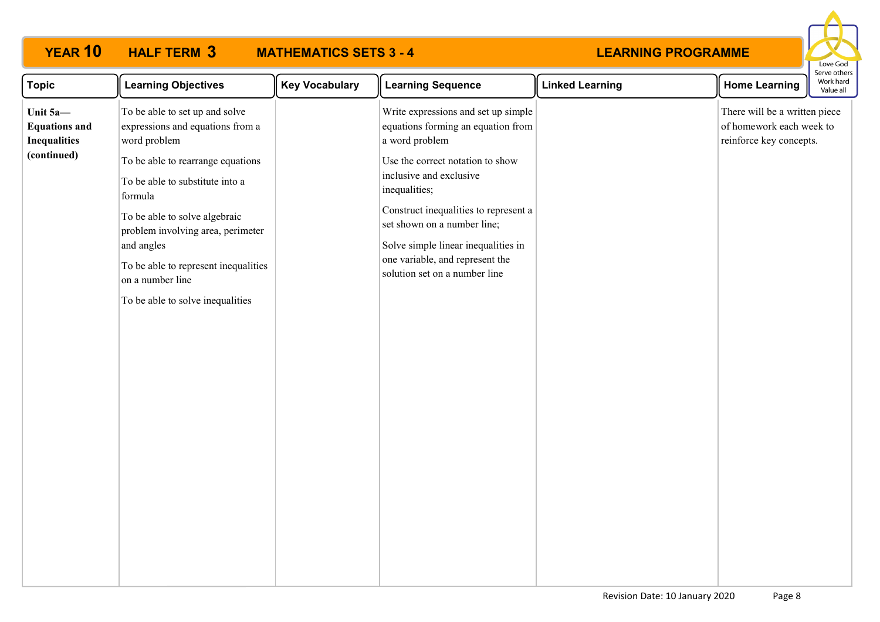

| <b>Topic</b>                                            | <b>Learning Objectives</b>                                                                                                                                                                                                                                          | <b>Key Vocabulary</b> | <b>Learning Sequence</b>                                                                                                                                                                                                                                        | <b>Linked Learning</b> | <b>Home Learning</b>                                                                 | Work hard<br>Value all |  |
|---------------------------------------------------------|---------------------------------------------------------------------------------------------------------------------------------------------------------------------------------------------------------------------------------------------------------------------|-----------------------|-----------------------------------------------------------------------------------------------------------------------------------------------------------------------------------------------------------------------------------------------------------------|------------------------|--------------------------------------------------------------------------------------|------------------------|--|
| Unit 5a-<br><b>Equations and</b><br><b>Inequalities</b> | To be able to set up and solve<br>expressions and equations from a<br>word problem                                                                                                                                                                                  |                       | Write expressions and set up simple<br>equations forming an equation from<br>a word problem                                                                                                                                                                     |                        | There will be a written piece<br>of homework each week to<br>reinforce key concepts. |                        |  |
| (continued)                                             | To be able to rearrange equations<br>To be able to substitute into a<br>formula<br>To be able to solve algebraic<br>problem involving area, perimeter<br>and angles<br>To be able to represent inequalities<br>on a number line<br>To be able to solve inequalities |                       | Use the correct notation to show<br>inclusive and exclusive<br>inequalities;<br>Construct inequalities to represent a<br>set shown on a number line;<br>Solve simple linear inequalities in<br>one variable, and represent the<br>solution set on a number line |                        |                                                                                      |                        |  |
|                                                         |                                                                                                                                                                                                                                                                     |                       |                                                                                                                                                                                                                                                                 |                        |                                                                                      |                        |  |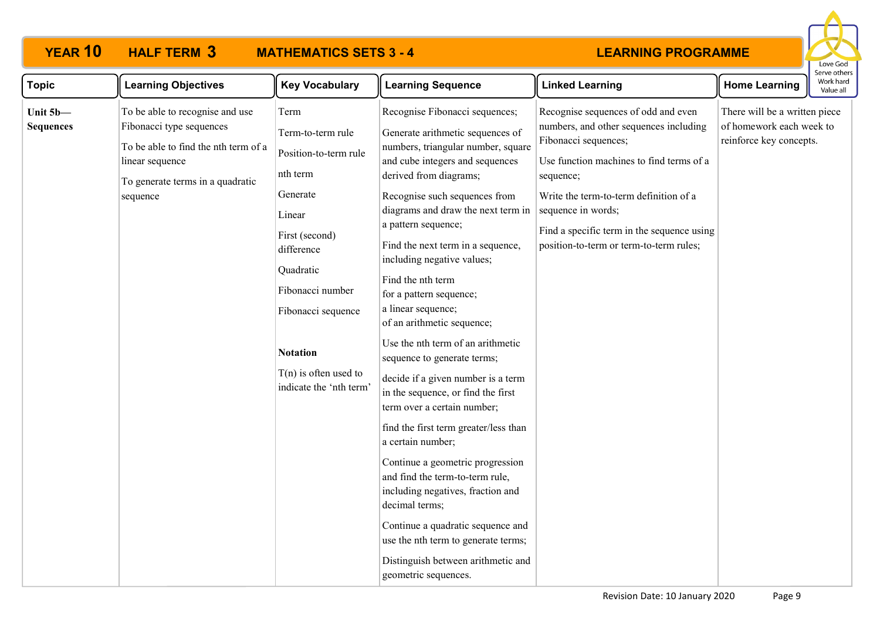

| <b>Topic</b>                 | <b>Learning Objectives</b>                                                                                                                                             | <b>Key Vocabulary</b>                                                                                                                                                                                                                                | <b>Learning Sequence</b>                                                                                                                                                                                                                                                                                                                                                                                                                                                                                                                                                                                                                                                                                                                                                                                                                                                                                                                                        | <b>Linked Learning</b>                                                                                                                                                                                                                                                                                                  | <b>Home Learning</b>                                                                 | Work hard<br>Value all |
|------------------------------|------------------------------------------------------------------------------------------------------------------------------------------------------------------------|------------------------------------------------------------------------------------------------------------------------------------------------------------------------------------------------------------------------------------------------------|-----------------------------------------------------------------------------------------------------------------------------------------------------------------------------------------------------------------------------------------------------------------------------------------------------------------------------------------------------------------------------------------------------------------------------------------------------------------------------------------------------------------------------------------------------------------------------------------------------------------------------------------------------------------------------------------------------------------------------------------------------------------------------------------------------------------------------------------------------------------------------------------------------------------------------------------------------------------|-------------------------------------------------------------------------------------------------------------------------------------------------------------------------------------------------------------------------------------------------------------------------------------------------------------------------|--------------------------------------------------------------------------------------|------------------------|
| Unit 5b-<br><b>Sequences</b> | To be able to recognise and use<br>Fibonacci type sequences<br>To be able to find the nth term of a<br>linear sequence<br>To generate terms in a quadratic<br>sequence | Term<br>Term-to-term rule<br>Position-to-term rule<br>nth term<br>Generate<br>Linear<br>First (second)<br>difference<br>Quadratic<br>Fibonacci number<br>Fibonacci sequence<br><b>Notation</b><br>$T(n)$ is often used to<br>indicate the 'nth term' | Recognise Fibonacci sequences;<br>Generate arithmetic sequences of<br>numbers, triangular number, square<br>and cube integers and sequences<br>derived from diagrams;<br>Recognise such sequences from<br>diagrams and draw the next term in<br>a pattern sequence;<br>Find the next term in a sequence,<br>including negative values;<br>Find the nth term<br>for a pattern sequence;<br>a linear sequence;<br>of an arithmetic sequence;<br>Use the nth term of an arithmetic<br>sequence to generate terms;<br>decide if a given number is a term<br>in the sequence, or find the first<br>term over a certain number;<br>find the first term greater/less than<br>a certain number;<br>Continue a geometric progression<br>and find the term-to-term rule,<br>including negatives, fraction and<br>decimal terms;<br>Continue a quadratic sequence and<br>use the nth term to generate terms;<br>Distinguish between arithmetic and<br>geometric sequences. | Recognise sequences of odd and even<br>numbers, and other sequences including<br>Fibonacci sequences;<br>Use function machines to find terms of a<br>sequence;<br>Write the term-to-term definition of a<br>sequence in words;<br>Find a specific term in the sequence using<br>position-to-term or term-to-term rules; | There will be a written piece<br>of homework each week to<br>reinforce key concepts. |                        |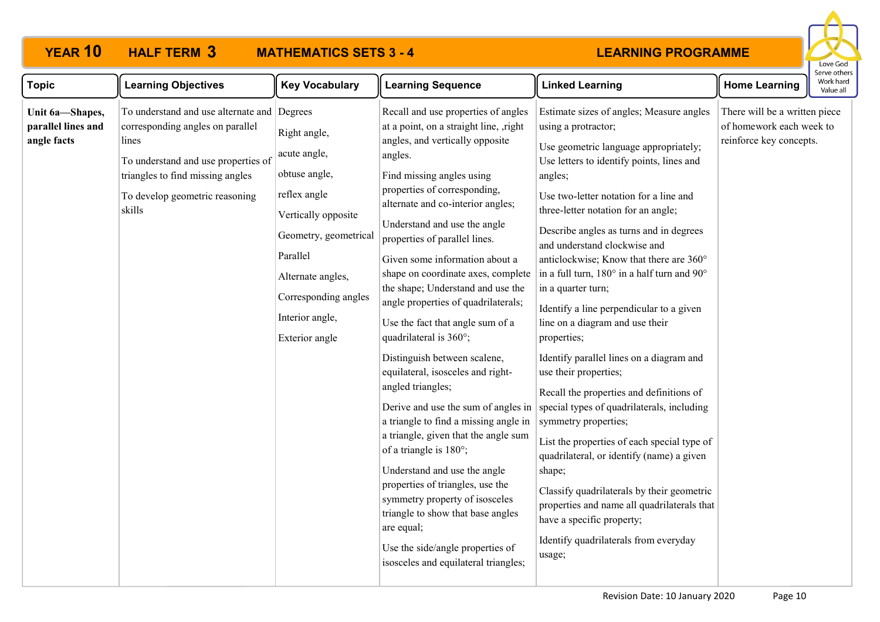

| <b>Topic</b>                                         | <b>Learning Objectives</b>                                                                                                                                                                                      | <b>Key Vocabulary</b>                                                                                                                                                                                       | <b>Learning Sequence</b>                                                                                                                                                                                                                                                                                                                                                                                                                                                                                                                                                                                                                                                                                                                                                                                                                                                                                                                                                                          | <b>Linked Learning</b>                                                                                                                                                                                                                                                                                                                                                                                                                                                                                                                                                                                                                                                                                                                                                                                                                                                                                                                                                                                                        | <b>Home Learning</b>                                                                 | serve otner<br>Work hard<br>Value all |
|------------------------------------------------------|-----------------------------------------------------------------------------------------------------------------------------------------------------------------------------------------------------------------|-------------------------------------------------------------------------------------------------------------------------------------------------------------------------------------------------------------|---------------------------------------------------------------------------------------------------------------------------------------------------------------------------------------------------------------------------------------------------------------------------------------------------------------------------------------------------------------------------------------------------------------------------------------------------------------------------------------------------------------------------------------------------------------------------------------------------------------------------------------------------------------------------------------------------------------------------------------------------------------------------------------------------------------------------------------------------------------------------------------------------------------------------------------------------------------------------------------------------|-------------------------------------------------------------------------------------------------------------------------------------------------------------------------------------------------------------------------------------------------------------------------------------------------------------------------------------------------------------------------------------------------------------------------------------------------------------------------------------------------------------------------------------------------------------------------------------------------------------------------------------------------------------------------------------------------------------------------------------------------------------------------------------------------------------------------------------------------------------------------------------------------------------------------------------------------------------------------------------------------------------------------------|--------------------------------------------------------------------------------------|---------------------------------------|
| Unit 6a-Shapes,<br>parallel lines and<br>angle facts | To understand and use alternate and Degrees<br>corresponding angles on parallel<br>lines<br>To understand and use properties of<br>triangles to find missing angles<br>To develop geometric reasoning<br>skills | Right angle,<br>acute angle,<br>obtuse angle,<br>reflex angle<br>Vertically opposite<br>Geometry, geometrical<br>Parallel<br>Alternate angles,<br>Corresponding angles<br>Interior angle,<br>Exterior angle | Recall and use properties of angles<br>at a point, on a straight line, ,right<br>angles, and vertically opposite<br>angles.<br>Find missing angles using<br>properties of corresponding,<br>alternate and co-interior angles;<br>Understand and use the angle<br>properties of parallel lines.<br>Given some information about a<br>shape on coordinate axes, complete<br>the shape; Understand and use the<br>angle properties of quadrilaterals;<br>Use the fact that angle sum of a<br>quadrilateral is 360°;<br>Distinguish between scalene,<br>equilateral, isosceles and right-<br>angled triangles;<br>Derive and use the sum of angles in<br>a triangle to find a missing angle in<br>a triangle, given that the angle sum<br>of a triangle is 180°;<br>Understand and use the angle<br>properties of triangles, use the<br>symmetry property of isosceles<br>triangle to show that base angles<br>are equal;<br>Use the side/angle properties of<br>isosceles and equilateral triangles; | Estimate sizes of angles; Measure angles<br>using a protractor;<br>Use geometric language appropriately;<br>Use letters to identify points, lines and<br>angles;<br>Use two-letter notation for a line and<br>three-letter notation for an angle;<br>Describe angles as turns and in degrees<br>and understand clockwise and<br>anticlockwise; Know that there are 360°<br>in a full turn, 180° in a half turn and $90^{\circ}$<br>in a quarter turn;<br>Identify a line perpendicular to a given<br>line on a diagram and use their<br>properties;<br>Identify parallel lines on a diagram and<br>use their properties;<br>Recall the properties and definitions of<br>special types of quadrilaterals, including<br>symmetry properties;<br>List the properties of each special type of<br>quadrilateral, or identify (name) a given<br>shape;<br>Classify quadrilaterals by their geometric<br>properties and name all quadrilaterals that<br>have a specific property;<br>Identify quadrilaterals from everyday<br>usage; | There will be a written piece<br>of homework each week to<br>reinforce key concepts. |                                       |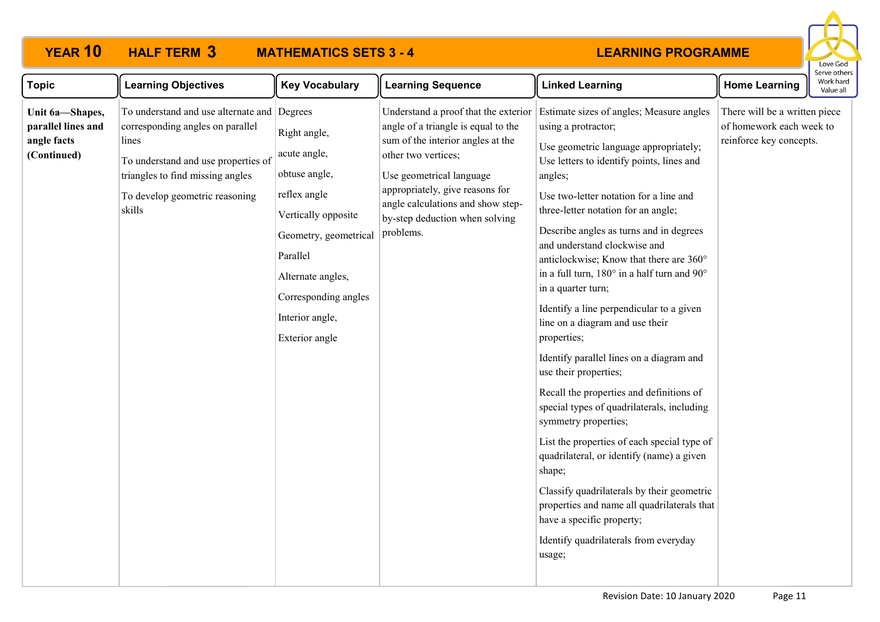

| <b>Topic</b>                                                        | <b>Learning Objectives</b>                                                                                                                                                                                      | <b>Key Vocabulary</b>                                                                                                                                                                                       | <b>Learning Sequence</b>                                                                                                                                                                                                                                                                   | <b>Linked Learning</b>                                                                                                                                                                                                                                                                                                                                                                                                                                                                                                                                                                                                                                                                                                                                                                                                                                                                                                                                                                                               | <b>Home Learning</b>                                                                 | Work hard<br>Value all |
|---------------------------------------------------------------------|-----------------------------------------------------------------------------------------------------------------------------------------------------------------------------------------------------------------|-------------------------------------------------------------------------------------------------------------------------------------------------------------------------------------------------------------|--------------------------------------------------------------------------------------------------------------------------------------------------------------------------------------------------------------------------------------------------------------------------------------------|----------------------------------------------------------------------------------------------------------------------------------------------------------------------------------------------------------------------------------------------------------------------------------------------------------------------------------------------------------------------------------------------------------------------------------------------------------------------------------------------------------------------------------------------------------------------------------------------------------------------------------------------------------------------------------------------------------------------------------------------------------------------------------------------------------------------------------------------------------------------------------------------------------------------------------------------------------------------------------------------------------------------|--------------------------------------------------------------------------------------|------------------------|
| Unit 6a-Shapes,<br>parallel lines and<br>angle facts<br>(Continued) | To understand and use alternate and Degrees<br>corresponding angles on parallel<br>lines<br>To understand and use properties of<br>triangles to find missing angles<br>To develop geometric reasoning<br>skills | Right angle,<br>acute angle,<br>obtuse angle,<br>reflex angle<br>Vertically opposite<br>Geometry, geometrical<br>Parallel<br>Alternate angles,<br>Corresponding angles<br>Interior angle,<br>Exterior angle | Understand a proof that the exterior<br>angle of a triangle is equal to the<br>sum of the interior angles at the<br>other two vertices;<br>Use geometrical language<br>appropriately, give reasons for<br>angle calculations and show step-<br>by-step deduction when solving<br>problems. | Estimate sizes of angles; Measure angles<br>using a protractor;<br>Use geometric language appropriately;<br>Use letters to identify points, lines and<br>angles;<br>Use two-letter notation for a line and<br>three-letter notation for an angle;<br>Describe angles as turns and in degrees<br>and understand clockwise and<br>anticlockwise; Know that there are 360°<br>in a full turn, 180° in a half turn and 90°<br>in a quarter turn;<br>Identify a line perpendicular to a given<br>line on a diagram and use their<br>properties;<br>Identify parallel lines on a diagram and<br>use their properties;<br>Recall the properties and definitions of<br>special types of quadrilaterals, including<br>symmetry properties;<br>List the properties of each special type of<br>quadrilateral, or identify (name) a given<br>shape;<br>Classify quadrilaterals by their geometric<br>properties and name all quadrilaterals that<br>have a specific property;<br>Identify quadrilaterals from everyday<br>usage; | There will be a written piece<br>of homework each week to<br>reinforce key concepts. |                        |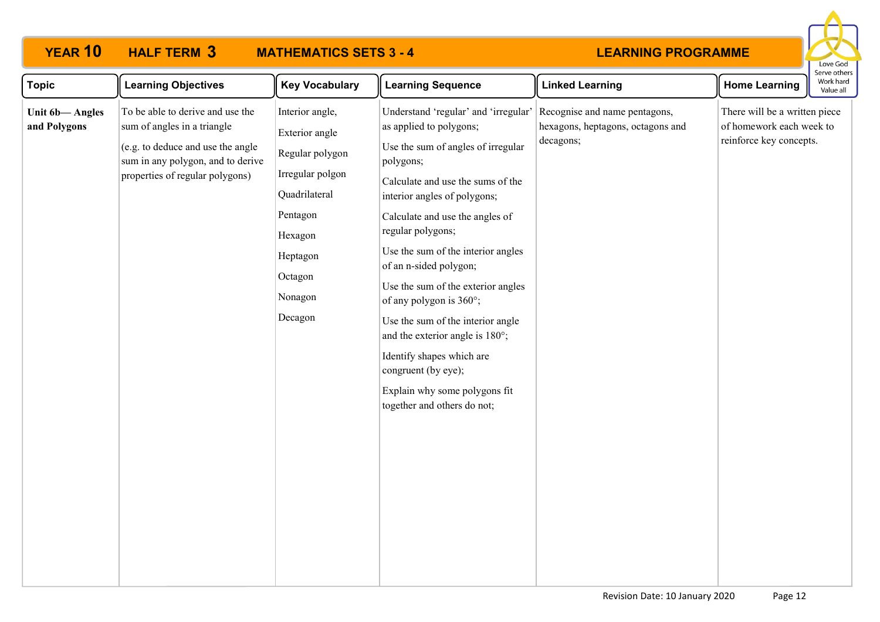

| Topic                          | <b>Learning Objectives</b>                                                                                                                                                   | <b>Key Vocabulary</b>                                                                                                                                         | <b>Learning Sequence</b>                                                                                                                                                                                                                                                                                                                                                                                                                                                                                                                                                     | <b>Linked Learning</b>                                                          | <b>Home Learning</b>                                                                 | וסו עם טנוופו<br>Work hard<br>Value all |
|--------------------------------|------------------------------------------------------------------------------------------------------------------------------------------------------------------------------|---------------------------------------------------------------------------------------------------------------------------------------------------------------|------------------------------------------------------------------------------------------------------------------------------------------------------------------------------------------------------------------------------------------------------------------------------------------------------------------------------------------------------------------------------------------------------------------------------------------------------------------------------------------------------------------------------------------------------------------------------|---------------------------------------------------------------------------------|--------------------------------------------------------------------------------------|-----------------------------------------|
| Unit 6b-Angles<br>and Polygons | To be able to derive and use the<br>sum of angles in a triangle<br>(e.g. to deduce and use the angle<br>sum in any polygon, and to derive<br>properties of regular polygons) | Interior angle,<br>Exterior angle<br>Regular polygon<br>Irregular polgon<br>Quadrilateral<br>Pentagon<br>Hexagon<br>Heptagon<br>Octagon<br>Nonagon<br>Decagon | Understand 'regular' and 'irregular'<br>as applied to polygons;<br>Use the sum of angles of irregular<br>polygons;<br>Calculate and use the sums of the<br>interior angles of polygons;<br>Calculate and use the angles of<br>regular polygons;<br>Use the sum of the interior angles<br>of an n-sided polygon;<br>Use the sum of the exterior angles<br>of any polygon is 360°;<br>Use the sum of the interior angle<br>and the exterior angle is 180°;<br>Identify shapes which are<br>congruent (by eye);<br>Explain why some polygons fit<br>together and others do not; | Recognise and name pentagons,<br>hexagons, heptagons, octagons and<br>decagons; | There will be a written piece<br>of homework each week to<br>reinforce key concepts. |                                         |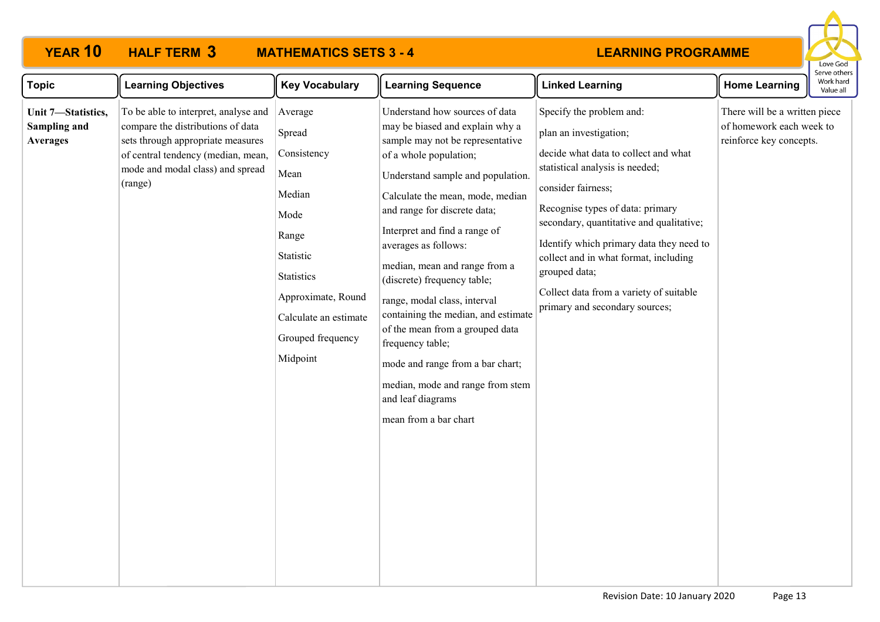# **YEAR 10 HALF TERM MATHEMATICS SETS 3 - 4**



| <b>Topic</b>                                          | <b>Learning Objectives</b>                                                                                                                                                                          | <b>Key Vocabulary</b>                                                                                                                                                          | <b>Learning Sequence</b>                                                                                                                                                                                                                                                                                                                                                                                                                                                                                                                                                                                              | <b>Linked Learning</b>                                                                                                                                                                                                                                                                                                                                                                                                 | <b>Home Learning</b>                                                                 | Work hard<br>Value all |
|-------------------------------------------------------|-----------------------------------------------------------------------------------------------------------------------------------------------------------------------------------------------------|--------------------------------------------------------------------------------------------------------------------------------------------------------------------------------|-----------------------------------------------------------------------------------------------------------------------------------------------------------------------------------------------------------------------------------------------------------------------------------------------------------------------------------------------------------------------------------------------------------------------------------------------------------------------------------------------------------------------------------------------------------------------------------------------------------------------|------------------------------------------------------------------------------------------------------------------------------------------------------------------------------------------------------------------------------------------------------------------------------------------------------------------------------------------------------------------------------------------------------------------------|--------------------------------------------------------------------------------------|------------------------|
| Unit 7-Statistics,<br>Sampling and<br><b>Averages</b> | To be able to interpret, analyse and<br>compare the distributions of data<br>sets through appropriate measures<br>of central tendency (median, mean,<br>mode and modal class) and spread<br>(range) | Average<br>Spread<br>Consistency<br>Mean<br>Median<br>Mode<br>Range<br>Statistic<br>Statistics<br>Approximate, Round<br>Calculate an estimate<br>Grouped frequency<br>Midpoint | Understand how sources of data<br>may be biased and explain why a<br>sample may not be representative<br>of a whole population;<br>Understand sample and population.<br>Calculate the mean, mode, median<br>and range for discrete data;<br>Interpret and find a range of<br>averages as follows:<br>median, mean and range from a<br>(discrete) frequency table;<br>range, modal class, interval<br>containing the median, and estimate<br>of the mean from a grouped data<br>frequency table;<br>mode and range from a bar chart;<br>median, mode and range from stem<br>and leaf diagrams<br>mean from a bar chart | Specify the problem and:<br>plan an investigation;<br>decide what data to collect and what<br>statistical analysis is needed;<br>consider fairness;<br>Recognise types of data: primary<br>secondary, quantitative and qualitative;<br>Identify which primary data they need to<br>collect and in what format, including<br>grouped data;<br>Collect data from a variety of suitable<br>primary and secondary sources; | There will be a written piece<br>of homework each week to<br>reinforce key concepts. |                        |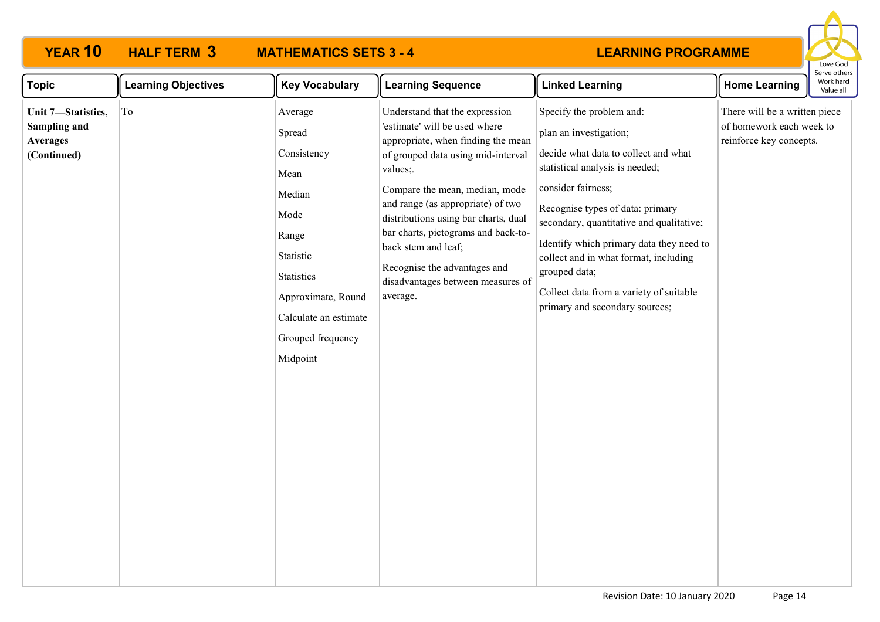

| <b>Topic</b>                                                                | <b>Learning Objectives</b> | <b>Key Vocabulary</b>                                                                                                                                                                 | <b>Learning Sequence</b>                                                                                                                                                                                                                                                                                                                                                                                             | <b>Linked Learning</b>                                                                                                                                                                                                                                                                                                                                                                                                 | <b>Home Learning</b>                                                                 | Work hard<br>Value all |
|-----------------------------------------------------------------------------|----------------------------|---------------------------------------------------------------------------------------------------------------------------------------------------------------------------------------|----------------------------------------------------------------------------------------------------------------------------------------------------------------------------------------------------------------------------------------------------------------------------------------------------------------------------------------------------------------------------------------------------------------------|------------------------------------------------------------------------------------------------------------------------------------------------------------------------------------------------------------------------------------------------------------------------------------------------------------------------------------------------------------------------------------------------------------------------|--------------------------------------------------------------------------------------|------------------------|
| Unit 7-Statistics,<br><b>Sampling and</b><br><b>Averages</b><br>(Continued) | To                         | Average<br>Spread<br>Consistency<br>Mean<br>Median<br>Mode<br>Range<br>Statistic<br><b>Statistics</b><br>Approximate, Round<br>Calculate an estimate<br>Grouped frequency<br>Midpoint | Understand that the expression<br>'estimate' will be used where<br>appropriate, when finding the mean<br>of grouped data using mid-interval<br>values;<br>Compare the mean, median, mode<br>and range (as appropriate) of two<br>distributions using bar charts, dual<br>bar charts, pictograms and back-to-<br>back stem and leaf;<br>Recognise the advantages and<br>disadvantages between measures of<br>average. | Specify the problem and:<br>plan an investigation;<br>decide what data to collect and what<br>statistical analysis is needed;<br>consider fairness;<br>Recognise types of data: primary<br>secondary, quantitative and qualitative;<br>Identify which primary data they need to<br>collect and in what format, including<br>grouped data;<br>Collect data from a variety of suitable<br>primary and secondary sources; | There will be a written piece<br>of homework each week to<br>reinforce key concepts. |                        |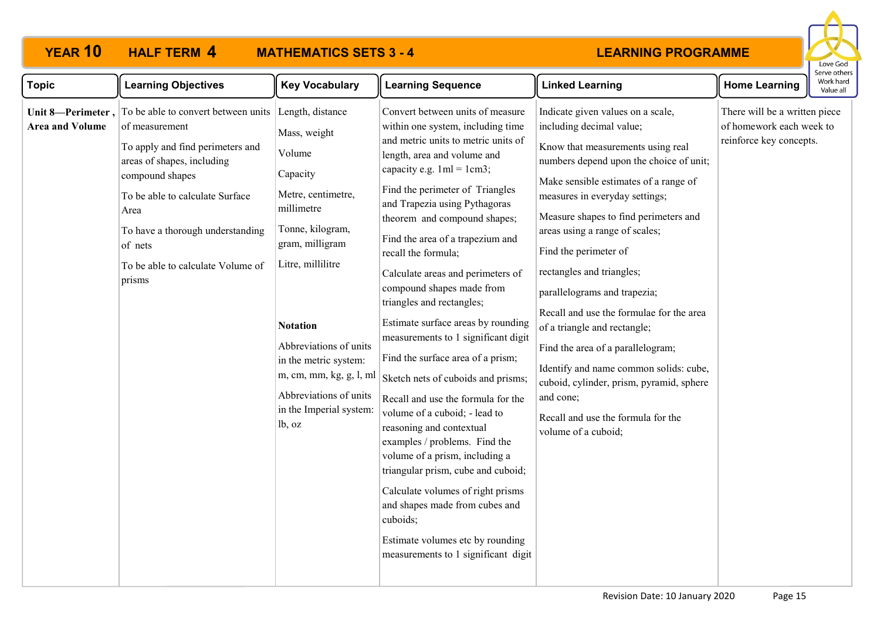# **YEAR 10 HALF TERM MATHEMATICS SETS 3 - 4**



| <b>Topic</b>           | <b>Learning Objectives</b>                                                                                                                                                                                                                                                                                                     | <b>Key Vocabulary</b>                                                                                                                                                                                                                                                                              | <b>Learning Sequence</b>                                                                                                                                                                                                                                                                                                                                                                                                                                                                                                                                                                                                                                                                                                                                                                                                                                                                                                                                                    | <b>Linked Learning</b>                                                                                                                                                                                                                                                                                                                                                                                                                                                                                                                                                                                                                                                     | <b>Home Learning</b>                                                                 | Work hard<br>Value all |
|------------------------|--------------------------------------------------------------------------------------------------------------------------------------------------------------------------------------------------------------------------------------------------------------------------------------------------------------------------------|----------------------------------------------------------------------------------------------------------------------------------------------------------------------------------------------------------------------------------------------------------------------------------------------------|-----------------------------------------------------------------------------------------------------------------------------------------------------------------------------------------------------------------------------------------------------------------------------------------------------------------------------------------------------------------------------------------------------------------------------------------------------------------------------------------------------------------------------------------------------------------------------------------------------------------------------------------------------------------------------------------------------------------------------------------------------------------------------------------------------------------------------------------------------------------------------------------------------------------------------------------------------------------------------|----------------------------------------------------------------------------------------------------------------------------------------------------------------------------------------------------------------------------------------------------------------------------------------------------------------------------------------------------------------------------------------------------------------------------------------------------------------------------------------------------------------------------------------------------------------------------------------------------------------------------------------------------------------------------|--------------------------------------------------------------------------------------|------------------------|
| <b>Area and Volume</b> | Unit 8—Perimeter, $\vert$ To be able to convert between units Length, distance<br>of measurement<br>To apply and find perimeters and<br>areas of shapes, including<br>compound shapes<br>To be able to calculate Surface<br>Area<br>To have a thorough understanding<br>of nets<br>To be able to calculate Volume of<br>prisms | Mass, weight<br>Volume<br>Capacity<br>Metre, centimetre,<br>millimetre<br>Tonne, kilogram,<br>gram, milligram<br>Litre, millilitre<br><b>Notation</b><br>Abbreviations of units<br>in the metric system:<br>m, cm, mm, kg, g, l, ml<br>Abbreviations of units<br>in the Imperial system:<br>lb, oz | Convert between units of measure<br>within one system, including time<br>and metric units to metric units of<br>length, area and volume and<br>capacity e.g. $1ml = 1cm3$ ;<br>Find the perimeter of Triangles<br>and Trapezia using Pythagoras<br>theorem and compound shapes;<br>Find the area of a trapezium and<br>recall the formula;<br>Calculate areas and perimeters of<br>compound shapes made from<br>triangles and rectangles;<br>Estimate surface areas by rounding<br>measurements to 1 significant digit<br>Find the surface area of a prism;<br>Sketch nets of cuboids and prisms;<br>Recall and use the formula for the<br>volume of a cuboid; - lead to<br>reasoning and contextual<br>examples / problems. Find the<br>volume of a prism, including a<br>triangular prism, cube and cuboid;<br>Calculate volumes of right prisms<br>and shapes made from cubes and<br>cuboids;<br>Estimate volumes etc by rounding<br>measurements to 1 significant digit | Indicate given values on a scale,<br>including decimal value;<br>Know that measurements using real<br>numbers depend upon the choice of unit;<br>Make sensible estimates of a range of<br>measures in everyday settings;<br>Measure shapes to find perimeters and<br>areas using a range of scales;<br>Find the perimeter of<br>rectangles and triangles;<br>parallelograms and trapezia;<br>Recall and use the formulae for the area<br>of a triangle and rectangle;<br>Find the area of a parallelogram;<br>Identify and name common solids: cube,<br>cuboid, cylinder, prism, pyramid, sphere<br>and cone;<br>Recall and use the formula for the<br>volume of a cuboid; | There will be a written piece<br>of homework each week to<br>reinforce key concepts. |                        |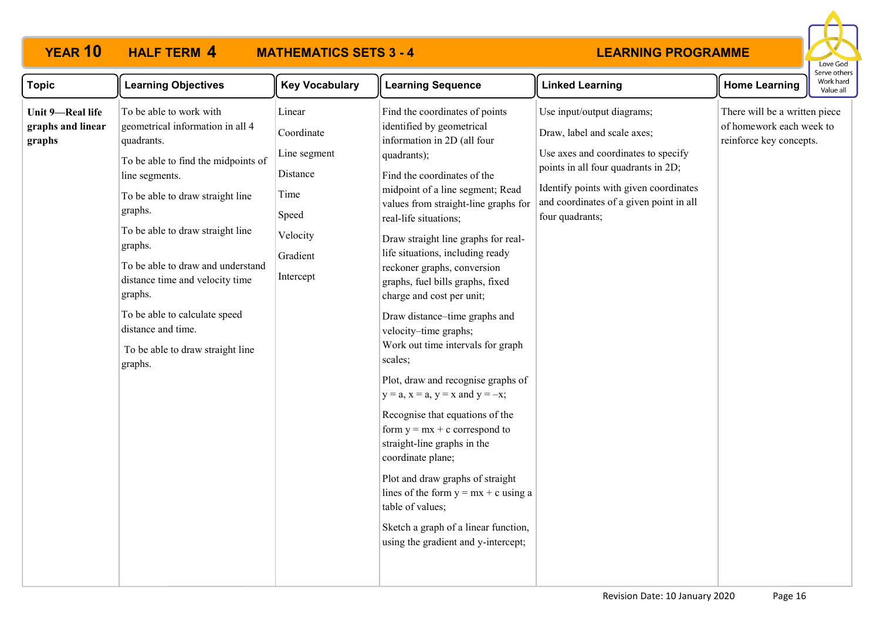

| <b>Topic</b>                                    | <b>Learning Objectives</b>                                                                                                                                                                                                                                                                                                                                                                                                | <b>Key Vocabulary</b>                                                                                  | <b>Learning Sequence</b>                                                                                                                                                                                                                                                                                                                                                                                                                                                                                                                                                                                                                                                                                                                                                                                                                                                                                                          | <b>Linked Learning</b>                                                                                                                                                                                                                          | <b>Home Learning</b>                                                                 | Work hard<br>Value all |
|-------------------------------------------------|---------------------------------------------------------------------------------------------------------------------------------------------------------------------------------------------------------------------------------------------------------------------------------------------------------------------------------------------------------------------------------------------------------------------------|--------------------------------------------------------------------------------------------------------|-----------------------------------------------------------------------------------------------------------------------------------------------------------------------------------------------------------------------------------------------------------------------------------------------------------------------------------------------------------------------------------------------------------------------------------------------------------------------------------------------------------------------------------------------------------------------------------------------------------------------------------------------------------------------------------------------------------------------------------------------------------------------------------------------------------------------------------------------------------------------------------------------------------------------------------|-------------------------------------------------------------------------------------------------------------------------------------------------------------------------------------------------------------------------------------------------|--------------------------------------------------------------------------------------|------------------------|
| Unit 9-Real life<br>graphs and linear<br>graphs | To be able to work with<br>geometrical information in all 4<br>quadrants.<br>To be able to find the midpoints of<br>line segments.<br>To be able to draw straight line<br>graphs.<br>To be able to draw straight line<br>graphs.<br>To be able to draw and understand<br>distance time and velocity time<br>graphs.<br>To be able to calculate speed<br>distance and time.<br>To be able to draw straight line<br>graphs. | Linear<br>Coordinate<br>Line segment<br>Distance<br>Time<br>Speed<br>Velocity<br>Gradient<br>Intercept | Find the coordinates of points<br>identified by geometrical<br>information in 2D (all four<br>quadrants);<br>Find the coordinates of the<br>midpoint of a line segment; Read<br>values from straight-line graphs for<br>real-life situations;<br>Draw straight line graphs for real-<br>life situations, including ready<br>reckoner graphs, conversion<br>graphs, fuel bills graphs, fixed<br>charge and cost per unit;<br>Draw distance-time graphs and<br>velocity-time graphs;<br>Work out time intervals for graph<br>scales;<br>Plot, draw and recognise graphs of<br>$y = a$ , $x = a$ , $y = x$ and $y = -x$ ;<br>Recognise that equations of the<br>form $y = mx + c$ correspond to<br>straight-line graphs in the<br>coordinate plane;<br>Plot and draw graphs of straight<br>lines of the form $y = mx + c$ using a<br>table of values;<br>Sketch a graph of a linear function,<br>using the gradient and y-intercept; | Use input/output diagrams;<br>Draw, label and scale axes;<br>Use axes and coordinates to specify<br>points in all four quadrants in 2D;<br>Identify points with given coordinates<br>and coordinates of a given point in all<br>four quadrants; | There will be a written piece<br>of homework each week to<br>reinforce key concepts. |                        |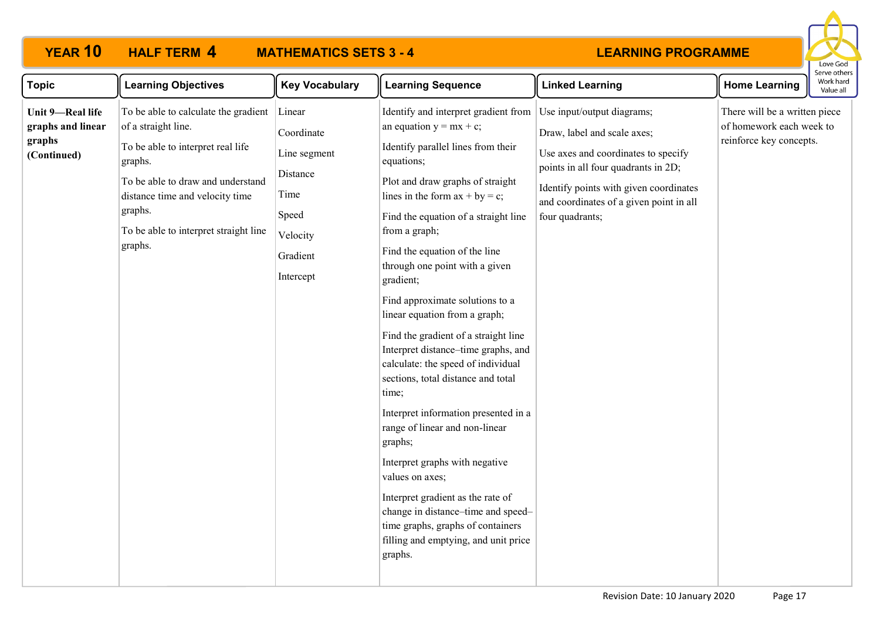# **YEAR 10 HALF TERM MATHEMATICS SETS 3 - 4**



| <b>Topic</b>                                                   | <b>Learning Objectives</b>                                                                                                                                                                                                                         | <b>Key Vocabulary</b>                                                                                  | <b>Learning Sequence</b>                                                                                                                                                                                                                                                                                                                                                                                                                                                                                                                                                                                                                                                                                                                                                                                                                                                                      | <b>Linked Learning</b>                                                                                                                                                                                                                          | <b>Home Learning</b>                                                                 | יכו עכ טנווכו<br>Work hard<br>Value all |
|----------------------------------------------------------------|----------------------------------------------------------------------------------------------------------------------------------------------------------------------------------------------------------------------------------------------------|--------------------------------------------------------------------------------------------------------|-----------------------------------------------------------------------------------------------------------------------------------------------------------------------------------------------------------------------------------------------------------------------------------------------------------------------------------------------------------------------------------------------------------------------------------------------------------------------------------------------------------------------------------------------------------------------------------------------------------------------------------------------------------------------------------------------------------------------------------------------------------------------------------------------------------------------------------------------------------------------------------------------|-------------------------------------------------------------------------------------------------------------------------------------------------------------------------------------------------------------------------------------------------|--------------------------------------------------------------------------------------|-----------------------------------------|
| Unit 9-Real life<br>graphs and linear<br>graphs<br>(Continued) | To be able to calculate the gradient<br>of a straight line.<br>To be able to interpret real life<br>graphs.<br>To be able to draw and understand<br>distance time and velocity time<br>graphs.<br>To be able to interpret straight line<br>graphs. | Linear<br>Coordinate<br>Line segment<br>Distance<br>Time<br>Speed<br>Velocity<br>Gradient<br>Intercept | Identify and interpret gradient from<br>an equation $y = mx + c$ ;<br>Identify parallel lines from their<br>equations;<br>Plot and draw graphs of straight<br>lines in the form $ax + by = c$ ;<br>Find the equation of a straight line<br>from a graph;<br>Find the equation of the line<br>through one point with a given<br>gradient;<br>Find approximate solutions to a<br>linear equation from a graph;<br>Find the gradient of a straight line<br>Interpret distance-time graphs, and<br>calculate: the speed of individual<br>sections, total distance and total<br>time;<br>Interpret information presented in a<br>range of linear and non-linear<br>graphs;<br>Interpret graphs with negative<br>values on axes;<br>Interpret gradient as the rate of<br>change in distance-time and speed-<br>time graphs, graphs of containers<br>filling and emptying, and unit price<br>graphs. | Use input/output diagrams;<br>Draw, label and scale axes;<br>Use axes and coordinates to specify<br>points in all four quadrants in 2D;<br>Identify points with given coordinates<br>and coordinates of a given point in all<br>four quadrants; | There will be a written piece<br>of homework each week to<br>reinforce key concepts. |                                         |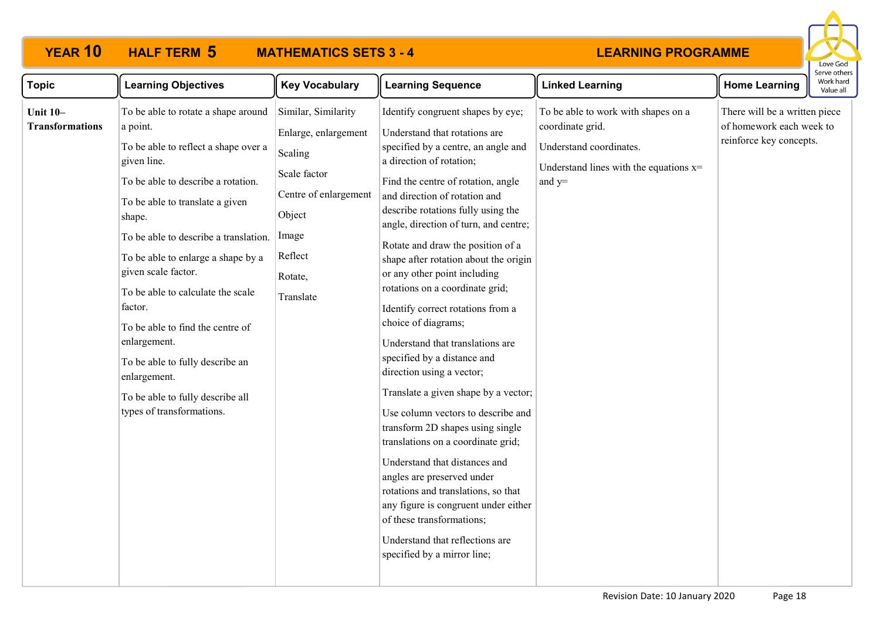

| <b>Topic</b>                              | <b>Learning Objectives</b>                                                                                                                                                                                                                                                                                                                                                                                                                                                                                              | <b>Key Vocabulary</b>                                                                                                                                 | <b>Learning Sequence</b>                                                                                                                                                                                                                                                                                                                                                                                                                                                                                                                                                                                                                                                                                                                                                                                                                                                                                                                                                                                      | <b>Linked Learning</b>                                                                                                                     | <b>Home Learning</b>                                                                 | serve othel<br>Work hard<br>Value all |
|-------------------------------------------|-------------------------------------------------------------------------------------------------------------------------------------------------------------------------------------------------------------------------------------------------------------------------------------------------------------------------------------------------------------------------------------------------------------------------------------------------------------------------------------------------------------------------|-------------------------------------------------------------------------------------------------------------------------------------------------------|---------------------------------------------------------------------------------------------------------------------------------------------------------------------------------------------------------------------------------------------------------------------------------------------------------------------------------------------------------------------------------------------------------------------------------------------------------------------------------------------------------------------------------------------------------------------------------------------------------------------------------------------------------------------------------------------------------------------------------------------------------------------------------------------------------------------------------------------------------------------------------------------------------------------------------------------------------------------------------------------------------------|--------------------------------------------------------------------------------------------------------------------------------------------|--------------------------------------------------------------------------------------|---------------------------------------|
| <b>Unit 10-</b><br><b>Transformations</b> | To be able to rotate a shape around<br>a point.<br>To be able to reflect a shape over a<br>given line.<br>To be able to describe a rotation.<br>To be able to translate a given<br>shape.<br>To be able to describe a translation.<br>To be able to enlarge a shape by a<br>given scale factor.<br>To be able to calculate the scale<br>factor.<br>To be able to find the centre of<br>enlargement.<br>To be able to fully describe an<br>enlargement.<br>To be able to fully describe all<br>types of transformations. | Similar, Similarity<br>Enlarge, enlargement<br>Scaling<br>Scale factor<br>Centre of enlargement<br>Object<br>Image<br>Reflect<br>Rotate,<br>Translate | Identify congruent shapes by eye;<br>Understand that rotations are<br>specified by a centre, an angle and<br>a direction of rotation;<br>Find the centre of rotation, angle<br>and direction of rotation and<br>describe rotations fully using the<br>angle, direction of turn, and centre;<br>Rotate and draw the position of a<br>shape after rotation about the origin<br>or any other point including<br>rotations on a coordinate grid;<br>Identify correct rotations from a<br>choice of diagrams;<br>Understand that translations are<br>specified by a distance and<br>direction using a vector;<br>Translate a given shape by a vector;<br>Use column vectors to describe and<br>transform 2D shapes using single<br>translations on a coordinate grid;<br>Understand that distances and<br>angles are preserved under<br>rotations and translations, so that<br>any figure is congruent under either<br>of these transformations;<br>Understand that reflections are<br>specified by a mirror line; | To be able to work with shapes on a<br>coordinate grid.<br>Understand coordinates.<br>Understand lines with the equations $x=$<br>and $y=$ | There will be a written piece<br>of homework each week to<br>reinforce key concepts. |                                       |
|                                           |                                                                                                                                                                                                                                                                                                                                                                                                                                                                                                                         |                                                                                                                                                       |                                                                                                                                                                                                                                                                                                                                                                                                                                                                                                                                                                                                                                                                                                                                                                                                                                                                                                                                                                                                               |                                                                                                                                            |                                                                                      |                                       |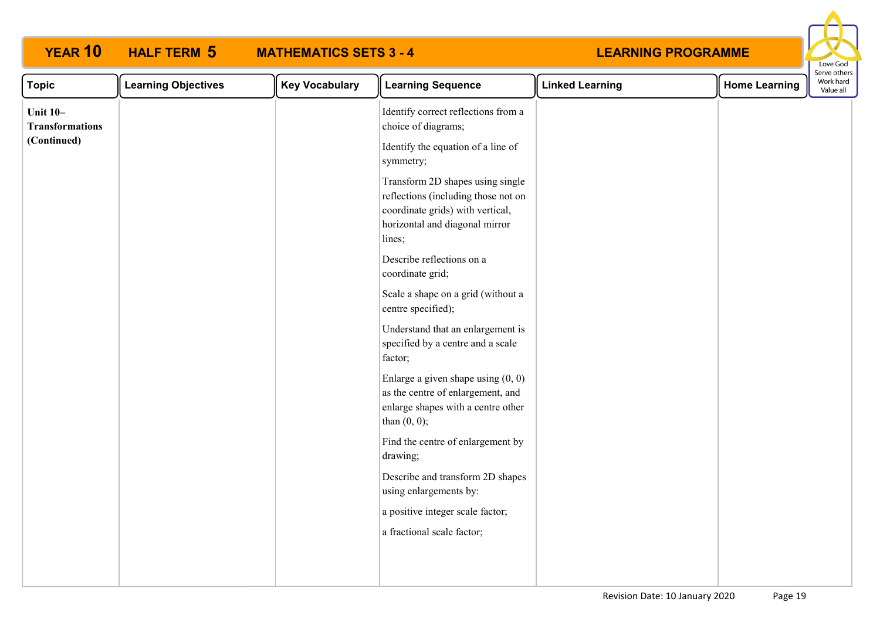| <b>YEAR 10</b>                            | <b>HALF TERM 5</b>         | <b>MATHEMATICS SETS 3 - 4</b> |                                                                                                                                                         | <b>LEARNING PROGRAMME</b> |                      | Love God                               |
|-------------------------------------------|----------------------------|-------------------------------|---------------------------------------------------------------------------------------------------------------------------------------------------------|---------------------------|----------------------|----------------------------------------|
| <b>Topic</b>                              | <b>Learning Objectives</b> | <b>Key Vocabulary</b>         | <b>Learning Sequence</b>                                                                                                                                | <b>Linked Learning</b>    | <b>Home Learning</b> | Serve others<br>Work hard<br>Value all |
| <b>Unit 10-</b><br><b>Transformations</b> |                            |                               | Identify correct reflections from a<br>choice of diagrams;                                                                                              |                           |                      |                                        |
| (Continued)                               |                            |                               | Identify the equation of a line of<br>symmetry;                                                                                                         |                           |                      |                                        |
|                                           |                            |                               | Transform 2D shapes using single<br>reflections (including those not on<br>coordinate grids) with vertical,<br>horizontal and diagonal mirror<br>lines; |                           |                      |                                        |
|                                           |                            |                               | Describe reflections on a<br>coordinate grid;                                                                                                           |                           |                      |                                        |
|                                           |                            |                               | Scale a shape on a grid (without a<br>centre specified);                                                                                                |                           |                      |                                        |
|                                           |                            |                               | Understand that an enlargement is<br>specified by a centre and a scale<br>factor;                                                                       |                           |                      |                                        |
|                                           |                            |                               | Enlarge a given shape using $(0, 0)$<br>as the centre of enlargement, and<br>enlarge shapes with a centre other<br>than $(0, 0)$ ;                      |                           |                      |                                        |
|                                           |                            |                               | Find the centre of enlargement by<br>drawing;                                                                                                           |                           |                      |                                        |
|                                           |                            |                               | Describe and transform 2D shapes<br>using enlargements by:                                                                                              |                           |                      |                                        |
|                                           |                            |                               | a positive integer scale factor;                                                                                                                        |                           |                      |                                        |
|                                           |                            |                               | a fractional scale factor;                                                                                                                              |                           |                      |                                        |
|                                           |                            |                               |                                                                                                                                                         |                           |                      |                                        |

**YEAR 10 HALF TERM MATHEMATICS SETS 3 - 4**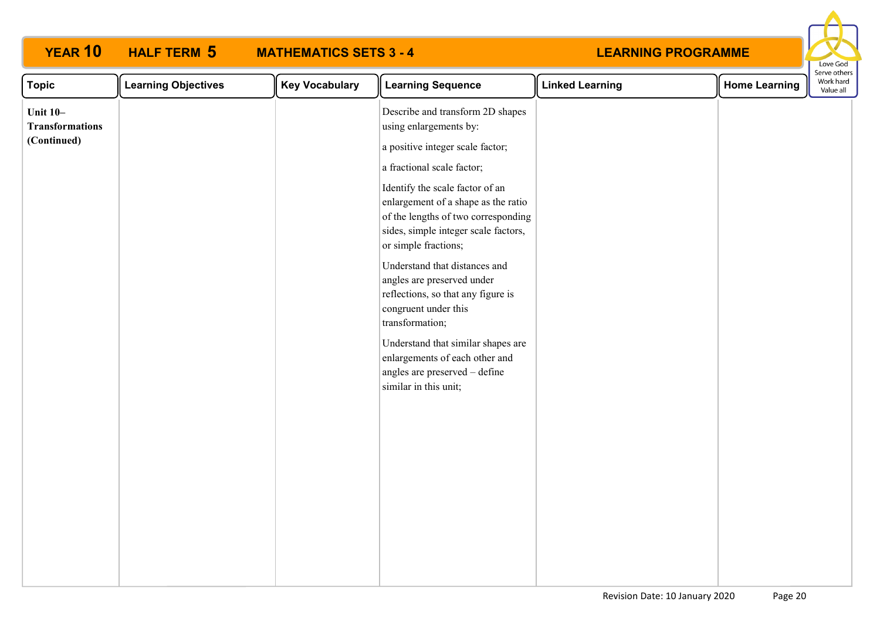| <b>YEAR 10</b>                                           | <b>HALF TERM 5</b>         | <b>MATHEMATICS SETS 3 - 4</b> |                                                                                                                                                                                                                                                                                                                                                                                                                                                                                                                                                                                                 | <b>LEARNING PROGRAMME</b> |                      | Love God                               |
|----------------------------------------------------------|----------------------------|-------------------------------|-------------------------------------------------------------------------------------------------------------------------------------------------------------------------------------------------------------------------------------------------------------------------------------------------------------------------------------------------------------------------------------------------------------------------------------------------------------------------------------------------------------------------------------------------------------------------------------------------|---------------------------|----------------------|----------------------------------------|
| <b>Topic</b>                                             | <b>Learning Objectives</b> | <b>Key Vocabulary</b>         | <b>Learning Sequence</b>                                                                                                                                                                                                                                                                                                                                                                                                                                                                                                                                                                        | <b>Linked Learning</b>    | <b>Home Learning</b> | Serve others<br>Work hard<br>Value all |
| <b>Unit 10-</b><br><b>Transformations</b><br>(Continued) |                            |                               | Describe and transform 2D shapes<br>using enlargements by:<br>a positive integer scale factor;<br>a fractional scale factor;<br>Identify the scale factor of an<br>enlargement of a shape as the ratio<br>of the lengths of two corresponding<br>sides, simple integer scale factors,<br>or simple fractions;<br>Understand that distances and<br>angles are preserved under<br>reflections, so that any figure is<br>congruent under this<br>transformation;<br>Understand that similar shapes are<br>enlargements of each other and<br>angles are preserved - define<br>similar in this unit; |                           |                      |                                        |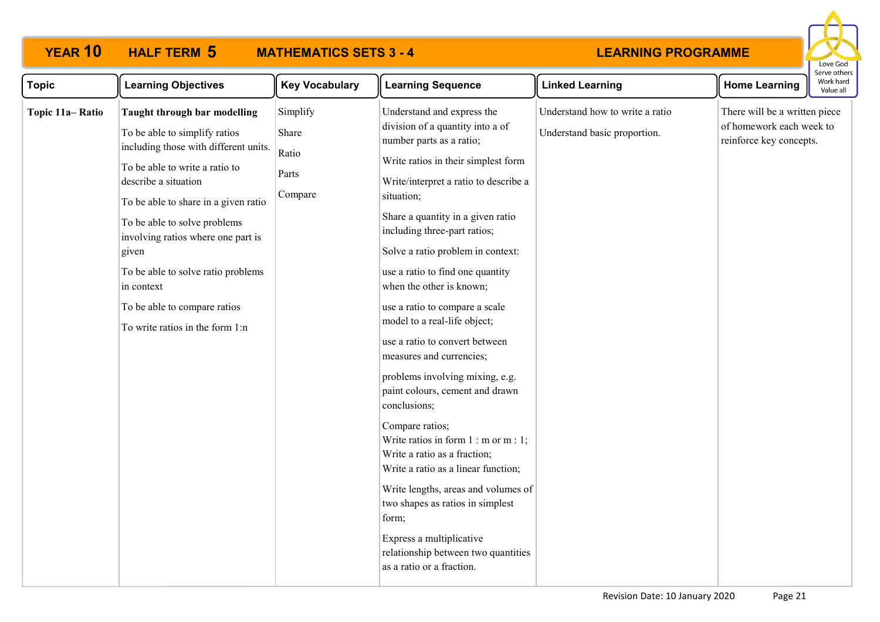# **YEAR 10 HALF TERM MATHEMATICS SETS 3 - 4**



| <b>Topic</b>    | <b>Learning Objectives</b>                                                                                                                                                                                                                                                                                                                                                                                     | <b>Key Vocabulary</b>                          | <b>Learning Sequence</b>                                                                                                                                                                                                                                                                                                                                                                                                                                                                                                                                                                                                                                                                                                                                                                                                                                                                                            | <b>Linked Learning</b>                                          | <b>Home Learning</b>                                                                 | Work hard<br>Value all |
|-----------------|----------------------------------------------------------------------------------------------------------------------------------------------------------------------------------------------------------------------------------------------------------------------------------------------------------------------------------------------------------------------------------------------------------------|------------------------------------------------|---------------------------------------------------------------------------------------------------------------------------------------------------------------------------------------------------------------------------------------------------------------------------------------------------------------------------------------------------------------------------------------------------------------------------------------------------------------------------------------------------------------------------------------------------------------------------------------------------------------------------------------------------------------------------------------------------------------------------------------------------------------------------------------------------------------------------------------------------------------------------------------------------------------------|-----------------------------------------------------------------|--------------------------------------------------------------------------------------|------------------------|
| Topic 11a-Ratio | Taught through bar modelling<br>To be able to simplify ratios<br>including those with different units.<br>To be able to write a ratio to<br>describe a situation<br>To be able to share in a given ratio<br>To be able to solve problems<br>involving ratios where one part is<br>given<br>To be able to solve ratio problems<br>in context<br>To be able to compare ratios<br>To write ratios in the form 1:n | Simplify<br>Share<br>Ratio<br>Parts<br>Compare | Understand and express the<br>division of a quantity into a of<br>number parts as a ratio;<br>Write ratios in their simplest form<br>Write/interpret a ratio to describe a<br>situation;<br>Share a quantity in a given ratio<br>including three-part ratios;<br>Solve a ratio problem in context:<br>use a ratio to find one quantity<br>when the other is known;<br>use a ratio to compare a scale<br>model to a real-life object;<br>use a ratio to convert between<br>measures and currencies;<br>problems involving mixing, e.g.<br>paint colours, cement and drawn<br>conclusions;<br>Compare ratios;<br>Write ratios in form $1 : m$ or $m : 1$ ;<br>Write a ratio as a fraction;<br>Write a ratio as a linear function;<br>Write lengths, areas and volumes of<br>two shapes as ratios in simplest<br>form;<br>Express a multiplicative<br>relationship between two quantities<br>as a ratio or a fraction. | Understand how to write a ratio<br>Understand basic proportion. | There will be a written piece<br>of homework each week to<br>reinforce key concepts. |                        |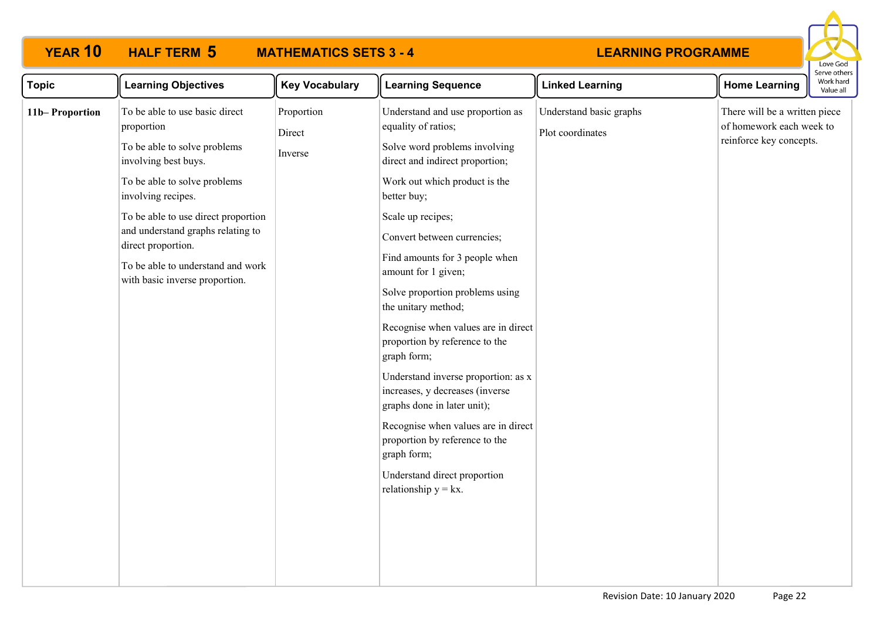# **YEAR 10 HALF TERM MATHEMATICS SETS 3 - 4**



| <b>Topic</b>   | <b>Learning Objectives</b>                                                                                                                                                                                                                                                                                            | <b>Key Vocabulary</b>                                                                | <b>Learning Sequence</b>                                                                                                                                                                                                                                                                                                                                                                                                                                                                                                | <b>Linked Learning</b> | <b>Home Learning</b> | Work hard<br>Value all |  |
|----------------|-----------------------------------------------------------------------------------------------------------------------------------------------------------------------------------------------------------------------------------------------------------------------------------------------------------------------|--------------------------------------------------------------------------------------|-------------------------------------------------------------------------------------------------------------------------------------------------------------------------------------------------------------------------------------------------------------------------------------------------------------------------------------------------------------------------------------------------------------------------------------------------------------------------------------------------------------------------|------------------------|----------------------|------------------------|--|
| 11b-Proportion | Proportion<br>Understand basic graphs<br>To be able to use basic direct<br>Understand and use proportion as<br>equality of ratios;<br>proportion<br>Plot coordinates<br>Direct<br>To be able to solve problems<br>Solve word problems involving<br>Inverse<br>direct and indirect proportion;<br>involving best buys. | There will be a written piece<br>of homework each week to<br>reinforce key concepts. |                                                                                                                                                                                                                                                                                                                                                                                                                                                                                                                         |                        |                      |                        |  |
|                | To be able to solve problems<br>involving recipes.                                                                                                                                                                                                                                                                    |                                                                                      | Work out which product is the<br>better buy;                                                                                                                                                                                                                                                                                                                                                                                                                                                                            |                        |                      |                        |  |
|                | To be able to use direct proportion<br>and understand graphs relating to<br>direct proportion.<br>To be able to understand and work<br>with basic inverse proportion.                                                                                                                                                 |                                                                                      | Scale up recipes;<br>Convert between currencies;<br>Find amounts for 3 people when<br>amount for 1 given;<br>Solve proportion problems using<br>the unitary method;<br>Recognise when values are in direct<br>proportion by reference to the<br>graph form;<br>Understand inverse proportion: as x<br>increases, y decreases (inverse<br>graphs done in later unit);<br>Recognise when values are in direct<br>proportion by reference to the<br>graph form;<br>Understand direct proportion<br>relationship $y = kx$ . |                        |                      |                        |  |
|                |                                                                                                                                                                                                                                                                                                                       |                                                                                      |                                                                                                                                                                                                                                                                                                                                                                                                                                                                                                                         |                        |                      |                        |  |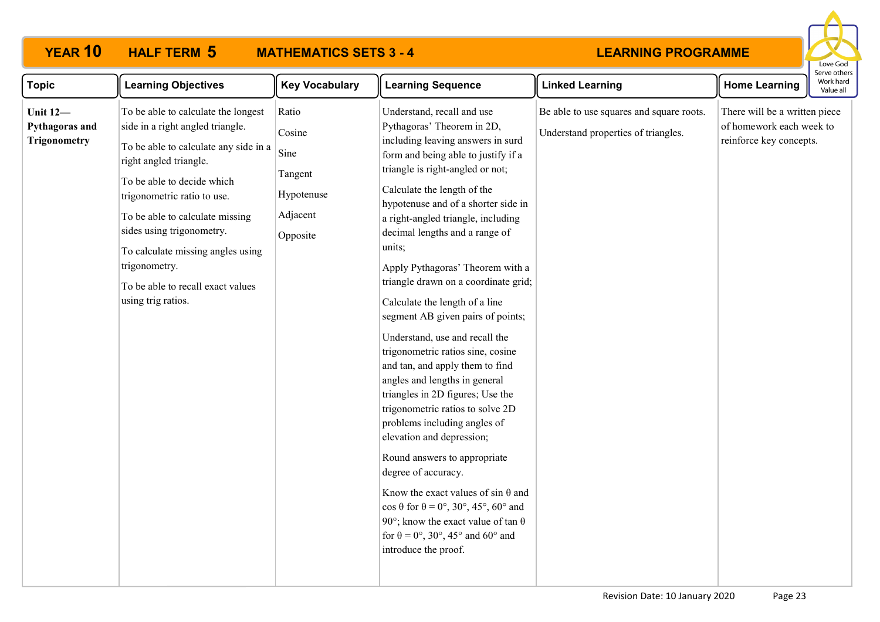# **YEAR 10 HALF TERM MATHEMATICS SETS 3 - 4**



| <b>Topic</b>                                             | <b>Learning Objectives</b>                                                                                                                                                                                                                                                                                                                                                               | <b>Key Vocabulary</b>                                                    | <b>Learning Sequence</b>                                                                                                                                                                                                                                                                                                                                                                                                                                                                                                                                                                                                                                                                                                                                                                                                                                                                                                                                                                                                                                    | <b>Linked Learning</b>                                                          | <b>Home Learning</b>                                                                 | Work hard<br>Value all |
|----------------------------------------------------------|------------------------------------------------------------------------------------------------------------------------------------------------------------------------------------------------------------------------------------------------------------------------------------------------------------------------------------------------------------------------------------------|--------------------------------------------------------------------------|-------------------------------------------------------------------------------------------------------------------------------------------------------------------------------------------------------------------------------------------------------------------------------------------------------------------------------------------------------------------------------------------------------------------------------------------------------------------------------------------------------------------------------------------------------------------------------------------------------------------------------------------------------------------------------------------------------------------------------------------------------------------------------------------------------------------------------------------------------------------------------------------------------------------------------------------------------------------------------------------------------------------------------------------------------------|---------------------------------------------------------------------------------|--------------------------------------------------------------------------------------|------------------------|
| <b>Unit 12-</b><br>Pythagoras and<br><b>Trigonometry</b> | To be able to calculate the longest<br>side in a right angled triangle.<br>To be able to calculate any side in a<br>right angled triangle.<br>To be able to decide which<br>trigonometric ratio to use.<br>To be able to calculate missing<br>sides using trigonometry.<br>To calculate missing angles using<br>trigonometry.<br>To be able to recall exact values<br>using trig ratios. | Ratio<br>Cosine<br>Sine<br>Tangent<br>Hypotenuse<br>Adjacent<br>Opposite | Understand, recall and use<br>Pythagoras' Theorem in 2D,<br>including leaving answers in surd<br>form and being able to justify if a<br>triangle is right-angled or not;<br>Calculate the length of the<br>hypotenuse and of a shorter side in<br>a right-angled triangle, including<br>decimal lengths and a range of<br>units;<br>Apply Pythagoras' Theorem with a<br>triangle drawn on a coordinate grid;<br>Calculate the length of a line<br>segment AB given pairs of points;<br>Understand, use and recall the<br>trigonometric ratios sine, cosine<br>and tan, and apply them to find<br>angles and lengths in general<br>triangles in 2D figures; Use the<br>trigonometric ratios to solve 2D<br>problems including angles of<br>elevation and depression;<br>Round answers to appropriate<br>degree of accuracy.<br>Know the exact values of sin $\theta$ and<br>$\cos \theta$ for $\theta = 0^\circ$ , 30°, 45°, 60° and<br>90°; know the exact value of tan $\theta$<br>for $\theta = 0^{\circ}$ , 30°, 45° and 60° and<br>introduce the proof. | Be able to use squares and square roots.<br>Understand properties of triangles. | There will be a written piece<br>of homework each week to<br>reinforce key concepts. |                        |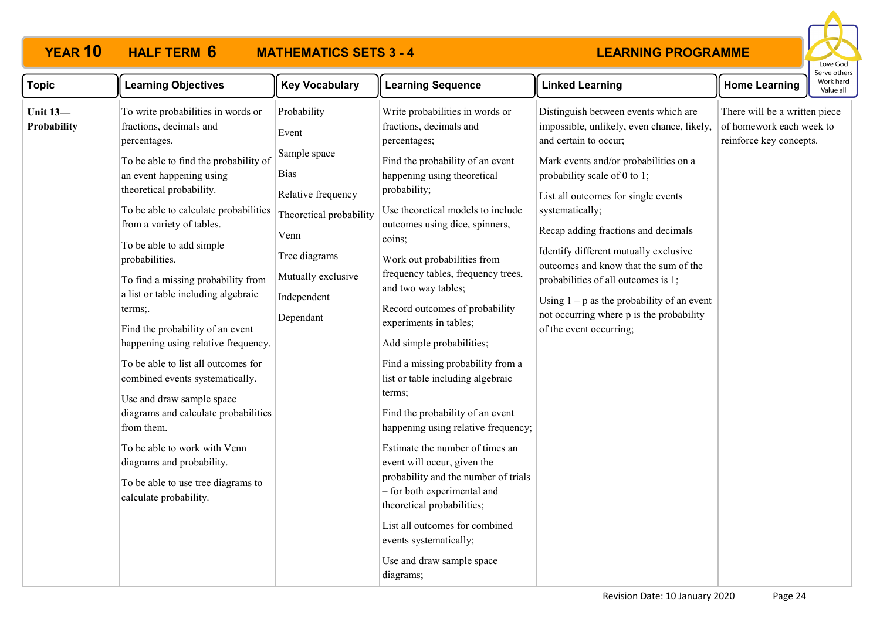

| <b>Topic</b>                   | <b>Learning Objectives</b>                                                                                                                                                                                                                                                                                                                                                                                                                                                                                                                                                                                                                                                                                                                                      | <b>Key Vocabulary</b>                                                                                                                                                           | <b>Learning Sequence</b>                                                                                                                                                                                                                                                                                                                                                                                                                                                                                                                                                                                                                                                                                                                                                                                                                                                        | <b>Linked Learning</b>                                                                                                                                                                                                                                                                                                                                                                                                                                                                                                                | <b>Home Learning</b>                                                                 | יכו אב חנו ונ<br>Work har<br>Value all |
|--------------------------------|-----------------------------------------------------------------------------------------------------------------------------------------------------------------------------------------------------------------------------------------------------------------------------------------------------------------------------------------------------------------------------------------------------------------------------------------------------------------------------------------------------------------------------------------------------------------------------------------------------------------------------------------------------------------------------------------------------------------------------------------------------------------|---------------------------------------------------------------------------------------------------------------------------------------------------------------------------------|---------------------------------------------------------------------------------------------------------------------------------------------------------------------------------------------------------------------------------------------------------------------------------------------------------------------------------------------------------------------------------------------------------------------------------------------------------------------------------------------------------------------------------------------------------------------------------------------------------------------------------------------------------------------------------------------------------------------------------------------------------------------------------------------------------------------------------------------------------------------------------|---------------------------------------------------------------------------------------------------------------------------------------------------------------------------------------------------------------------------------------------------------------------------------------------------------------------------------------------------------------------------------------------------------------------------------------------------------------------------------------------------------------------------------------|--------------------------------------------------------------------------------------|----------------------------------------|
| <b>Unit 13-</b><br>Probability | To write probabilities in words or<br>fractions, decimals and<br>percentages.<br>To be able to find the probability of<br>an event happening using<br>theoretical probability.<br>To be able to calculate probabilities<br>from a variety of tables.<br>To be able to add simple<br>probabilities.<br>To find a missing probability from<br>a list or table including algebraic<br>terms;.<br>Find the probability of an event<br>happening using relative frequency.<br>To be able to list all outcomes for<br>combined events systematically.<br>Use and draw sample space<br>diagrams and calculate probabilities<br>from them.<br>To be able to work with Venn<br>diagrams and probability.<br>To be able to use tree diagrams to<br>calculate probability. | Probability<br>Event<br>Sample space<br><b>Bias</b><br>Relative frequency<br>Theoretical probability<br>Venn<br>Tree diagrams<br>Mutually exclusive<br>Independent<br>Dependant | Write probabilities in words or<br>fractions, decimals and<br>percentages;<br>Find the probability of an event<br>happening using theoretical<br>probability;<br>Use theoretical models to include<br>outcomes using dice, spinners,<br>coins;<br>Work out probabilities from<br>frequency tables, frequency trees,<br>and two way tables;<br>Record outcomes of probability<br>experiments in tables;<br>Add simple probabilities;<br>Find a missing probability from a<br>list or table including algebraic<br>terms;<br>Find the probability of an event<br>happening using relative frequency;<br>Estimate the number of times an<br>event will occur, given the<br>probability and the number of trials<br>- for both experimental and<br>theoretical probabilities;<br>List all outcomes for combined<br>events systematically;<br>Use and draw sample space<br>diagrams; | Distinguish between events which are<br>impossible, unlikely, even chance, likely,<br>and certain to occur;<br>Mark events and/or probabilities on a<br>probability scale of 0 to 1;<br>List all outcomes for single events<br>systematically;<br>Recap adding fractions and decimals<br>Identify different mutually exclusive<br>outcomes and know that the sum of the<br>probabilities of all outcomes is 1;<br>Using $1 - p$ as the probability of an event<br>not occurring where p is the probability<br>of the event occurring; | There will be a written piece<br>of homework each week to<br>reinforce key concepts. |                                        |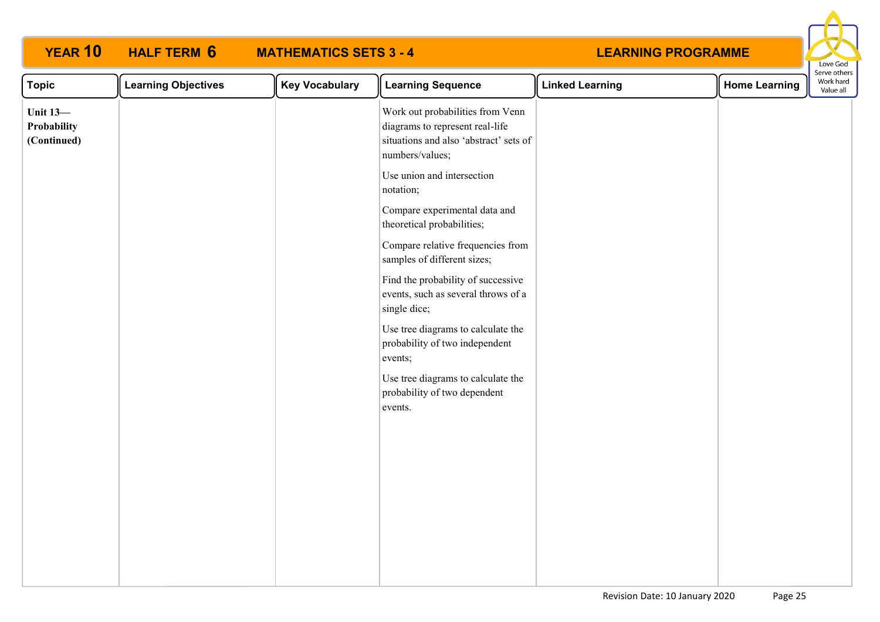| <b>YEAR 10</b>                                | <b>HALF TERM 6</b><br><b>MATHEMATICS SETS 3 - 4</b> |                       |                                                                                                                                  | <b>LEARNING PROGRAMME</b> |                      | Love God                               |
|-----------------------------------------------|-----------------------------------------------------|-----------------------|----------------------------------------------------------------------------------------------------------------------------------|---------------------------|----------------------|----------------------------------------|
| <b>Topic</b>                                  | <b>Learning Objectives</b>                          | <b>Key Vocabulary</b> | <b>Learning Sequence</b>                                                                                                         | <b>Linked Learning</b>    | <b>Home Learning</b> | Serve others<br>Work hard<br>Value all |
| <b>Unit 13-</b><br>Probability<br>(Continued) |                                                     |                       | Work out probabilities from Venn<br>diagrams to represent real-life<br>situations and also 'abstract' sets of<br>numbers/values; |                           |                      |                                        |
|                                               |                                                     |                       | Use union and intersection<br>notation;                                                                                          |                           |                      |                                        |
|                                               |                                                     |                       | Compare experimental data and<br>theoretical probabilities;                                                                      |                           |                      |                                        |
|                                               |                                                     |                       | Compare relative frequencies from<br>samples of different sizes;                                                                 |                           |                      |                                        |
|                                               |                                                     |                       | Find the probability of successive<br>events, such as several throws of a<br>single dice;                                        |                           |                      |                                        |
|                                               |                                                     |                       | Use tree diagrams to calculate the<br>probability of two independent<br>events;                                                  |                           |                      |                                        |
|                                               |                                                     |                       | Use tree diagrams to calculate the<br>probability of two dependent<br>events.                                                    |                           |                      |                                        |
|                                               |                                                     |                       |                                                                                                                                  |                           |                      |                                        |
|                                               |                                                     |                       |                                                                                                                                  |                           |                      |                                        |
|                                               |                                                     |                       |                                                                                                                                  |                           |                      |                                        |
|                                               |                                                     |                       |                                                                                                                                  |                           |                      |                                        |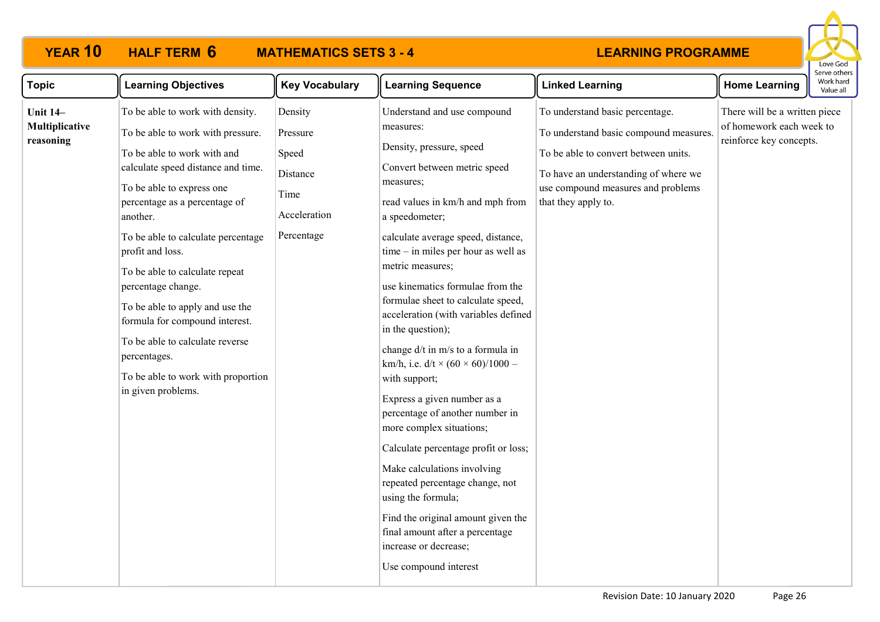# **YEAR 10 HALF TERM MATHEMATICS SETS 3 - 4**



| <b>Topic</b>                                   | <b>Learning Objectives</b>                                                                                                                                                                                                                                                                                                                                                                                                                                                                                                 | <b>Key Vocabulary</b>                                                          | <b>Learning Sequence</b>                                                                                                                                                                                                                                                                                                                                                                                                                                                                                                                                                                                                                                                                                                                                                                                                                                                          | <b>Linked Learning</b>                                                                                                                                                                                                 | <b>Home Learning</b>                                                                 | יכו עכ טנווכו<br>Work hard<br>Value all |
|------------------------------------------------|----------------------------------------------------------------------------------------------------------------------------------------------------------------------------------------------------------------------------------------------------------------------------------------------------------------------------------------------------------------------------------------------------------------------------------------------------------------------------------------------------------------------------|--------------------------------------------------------------------------------|-----------------------------------------------------------------------------------------------------------------------------------------------------------------------------------------------------------------------------------------------------------------------------------------------------------------------------------------------------------------------------------------------------------------------------------------------------------------------------------------------------------------------------------------------------------------------------------------------------------------------------------------------------------------------------------------------------------------------------------------------------------------------------------------------------------------------------------------------------------------------------------|------------------------------------------------------------------------------------------------------------------------------------------------------------------------------------------------------------------------|--------------------------------------------------------------------------------------|-----------------------------------------|
| <b>Unit 14-</b><br>Multiplicative<br>reasoning | To be able to work with density.<br>To be able to work with pressure.<br>To be able to work with and<br>calculate speed distance and time.<br>To be able to express one<br>percentage as a percentage of<br>another.<br>To be able to calculate percentage<br>profit and loss.<br>To be able to calculate repeat<br>percentage change.<br>To be able to apply and use the<br>formula for compound interest.<br>To be able to calculate reverse<br>percentages.<br>To be able to work with proportion<br>in given problems. | Density<br>Pressure<br>Speed<br>Distance<br>Time<br>Acceleration<br>Percentage | Understand and use compound<br>measures:<br>Density, pressure, speed<br>Convert between metric speed<br>measures;<br>read values in km/h and mph from<br>a speedometer;<br>calculate average speed, distance,<br>$time - in miles per hour as well as$<br>metric measures;<br>use kinematics formulae from the<br>formulae sheet to calculate speed,<br>acceleration (with variables defined<br>in the question);<br>change d/t in m/s to a formula in<br>km/h, i.e. $d/t \times (60 \times 60)/1000 -$<br>with support;<br>Express a given number as a<br>percentage of another number in<br>more complex situations;<br>Calculate percentage profit or loss;<br>Make calculations involving<br>repeated percentage change, not<br>using the formula;<br>Find the original amount given the<br>final amount after a percentage<br>increase or decrease;<br>Use compound interest | To understand basic percentage.<br>To understand basic compound measures.<br>To be able to convert between units.<br>To have an understanding of where we<br>use compound measures and problems<br>that they apply to. | There will be a written piece<br>of homework each week to<br>reinforce key concepts. |                                         |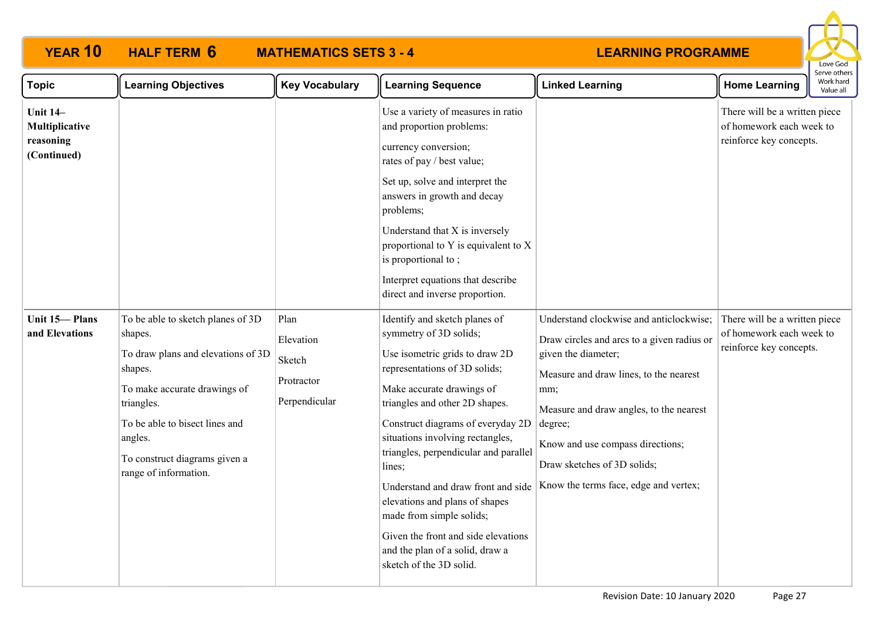|                                                               |                                                                                                                                                                                                                                                    |                                                            |                                                                                                                                                                                                                                                                                                                                                                                                                                                                                                                                |                                                                                                                                                                                                                                                                                                                                 |                                                                                      | Love God<br>Serve other |
|---------------------------------------------------------------|----------------------------------------------------------------------------------------------------------------------------------------------------------------------------------------------------------------------------------------------------|------------------------------------------------------------|--------------------------------------------------------------------------------------------------------------------------------------------------------------------------------------------------------------------------------------------------------------------------------------------------------------------------------------------------------------------------------------------------------------------------------------------------------------------------------------------------------------------------------|---------------------------------------------------------------------------------------------------------------------------------------------------------------------------------------------------------------------------------------------------------------------------------------------------------------------------------|--------------------------------------------------------------------------------------|-------------------------|
| <b>Topic</b>                                                  | <b>Learning Objectives</b>                                                                                                                                                                                                                         | <b>Key Vocabulary</b>                                      | <b>Learning Sequence</b>                                                                                                                                                                                                                                                                                                                                                                                                                                                                                                       | <b>Linked Learning</b>                                                                                                                                                                                                                                                                                                          | <b>Home Learning</b>                                                                 | Work hard<br>Value all  |
| <b>Unit 14-</b><br>Multiplicative<br>reasoning<br>(Continued) |                                                                                                                                                                                                                                                    |                                                            | Use a variety of measures in ratio<br>and proportion problems:<br>currency conversion;<br>rates of pay / best value;<br>Set up, solve and interpret the<br>answers in growth and decay<br>problems;<br>Understand that X is inversely<br>proportional to Y is equivalent to X<br>is proportional to;<br>Interpret equations that describe<br>direct and inverse proportion.                                                                                                                                                    |                                                                                                                                                                                                                                                                                                                                 | There will be a written piece<br>of homework each week to<br>reinforce key concepts. |                         |
| Unit 15-Plans<br>and Elevations                               | To be able to sketch planes of 3D<br>shapes.<br>To draw plans and elevations of 3D<br>shapes.<br>To make accurate drawings of<br>triangles.<br>To be able to bisect lines and<br>angles.<br>To construct diagrams given a<br>range of information. | Plan<br>Elevation<br>Sketch<br>Protractor<br>Perpendicular | Identify and sketch planes of<br>symmetry of 3D solids;<br>Use isometric grids to draw 2D<br>representations of 3D solids;<br>Make accurate drawings of<br>triangles and other 2D shapes.<br>Construct diagrams of everyday 2D<br>situations involving rectangles,<br>triangles, perpendicular and parallel<br>lines;<br>Understand and draw front and side<br>elevations and plans of shapes<br>made from simple solids;<br>Given the front and side elevations<br>and the plan of a solid, draw a<br>sketch of the 3D solid. | Understand clockwise and anticlockwise;<br>Draw circles and arcs to a given radius or<br>given the diameter;<br>Measure and draw lines, to the nearest<br>mm;<br>Measure and draw angles, to the nearest<br>degree;<br>Know and use compass directions;<br>Draw sketches of 3D solids;<br>Know the terms face, edge and vertex; | There will be a written piece<br>of homework each week to<br>reinforce key concepts. |                         |

**YEAR 10 HALF TERM MATHEMATICS SETS 3 - 4**

**HALF TERM 6**